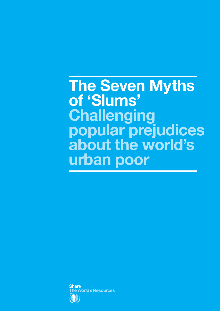**The Seven Myths of 'Slums' Challenging popular prejudices about the world's urban poor**

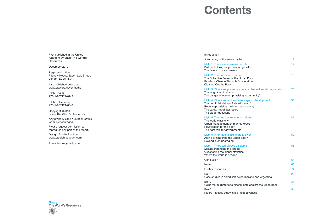# **Contents**

First published in the United Kingdom by Share The World's **Resources** 

December 2010

Registered office: Friendly House, Tabernacle Street, London EC2A 4NJ

Also published online at: www.stwr.org/sevenmyths

ISBN: (Print) 978-1-907121-02-9

ISBN: (Electronic ) 978-1-907121-03-6

| Introduction                                                                                                                                                                                       | 4               |
|----------------------------------------------------------------------------------------------------------------------------------------------------------------------------------------------------|-----------------|
| A summary of the seven myths                                                                                                                                                                       | 8               |
| Myth 1: There are too many people<br>Policy choices, not population growth<br>The failure of governments                                                                                           | 12 <sub>2</sub> |
| Myth 2: The poor are to blame<br>The Collective Power of the Urban Poor<br>Pro-Poor Change Through Cooperation<br>Clearing Out the Poor                                                            | 18              |
| Myth 3: Slums are places of crime, violence & social degradation<br>The language of 'slums'<br>The danger of over-emphasising 'community'                                                          | 28              |
| Myth 4: Slums are an inevitable stage of development<br>The unofficial history of 'development'<br>Reconceptualising the informal economy<br>The safety net of last resort<br>The bigger questions | 36              |
| Myth 5: The free market can end slums<br>The world class city<br>Urban management by market forces<br>Privatisation for the poor<br>The right role for governments                                 | 42              |
| Myth 6: International aid is the answer<br>Aiding or hindering the urban poor?<br>Beyond slum upgrading                                                                                            | 50              |
| Myth 7: There will always be slums<br>Misunderstanding the targets<br>Questioning the global statistics<br>Where the world is headed                                                               | 58              |
| Conclusion                                                                                                                                                                                         | 64              |
| Notes                                                                                                                                                                                              | 68              |
| Further resources                                                                                                                                                                                  | 74              |
| Box 1:<br>Case studies in aided self-help: Thailand and Argentina                                                                                                                                  | 22              |
| Box 2:<br>Using 'slum' rhetoric to discriminate against the urban poor                                                                                                                             | 31              |
| Box 3:<br>Kibera - a case study in aid ineffectiveness                                                                                                                                             | 54              |
|                                                                                                                                                                                                    |                 |

Copyright ©2010 Share The World's Resources

Any properly cited quotation of this work is encouraged.

Please request permission to reproduce any part of the report.

Design: Studio Blackbur n www.studioblackburn.com

Printed on recycled paper

Introduction

Further resources

**Share The World's Resources**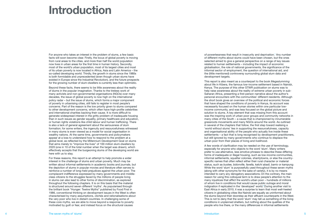For anyone who takes an interest in the problem of slums, a few basic facts will soon become clear. Firstly, the locus of global poverty is moving from rural areas to the cities, and more than half the world population now lives in urban areas for the first time in human history. Secondly, most of the world's urban population, most of its largest cities and most of its urban poverty is now located in Africa, Asia and Latin America – the so-called developing world. Thirdly, the growth in slums since the 1980s is both formidable and unprecedented (even though urban slums have existed in Europe since the Industrial Revolution ), and the future prospects for the growing number of slum-dwellers is currently less than optimistic.

Beyond these facts, there seems to be little awareness about the reality of slums in the popular imagination. Thanks to the tireless work of many activists and non-governmental organisations (NGOs ) over many decades, the issue of global poverty is now high on the international policy radar – but the issue of slums, which forms a major component of poverty in urbanising cities, still fails to register in most people's concerns. Part of the reason is the low priority given to slums compared to other development concerns, which often have high-profile celebrities and international charities backing their cause. It is more difficult to generate widespread interest in the gritty problem of inadequate housing than in such issues as gender equality, primary healthcare and education, or human rights violations like child labour and human trafficking. There is also a lack of general agreement about the seriousness of slum formation; for some writers, the ingenuity and resourcefulness witnessed in many slums is even viewed as a model for social organisation in wealthy nations. At the same time, governments and policymakers appear at a loss to understand how to respond to the problem at a global level, as reflected by the Millennium Development Goal on slums that aims merely to "improve the lives" of 100 million slum-dwellers by 2020 (one in 10 of the total number when the target was drawn ), which effectively accepts that the burgeoning slums of the developing world are here with us to stay.

of powerlessness that result in insecurity and deprivation.<sup>1</sup> Any number of different myths about slums could have been chosen, but the ones selected aimed to give a general perspective on a range of key issues related to human settlements – including the impact of economic globalisation, the role of national governments, the significance of the informal sector of employment, the question of international aid, and the (little mentioned ) controversy surrounding global slum data and development targets.

For these reasons, this report is an attempt to help promote a wider interest in the challenge of slums and urban poverty. Much may be written about informal settlements in academic books and journals, but the depiction of slums in popular movies and literature often serves to reinforce a number of long-held prejudices against the urban poor. The complacent indifference expressed by many governments and middleclass citizens to the struggles faced by the millions of people living in slums can also lead to other forms of discrimination, as explored throughout the following chapters. It is on this basis that the material is structured around seven different 'myths'. As popularised through the brilliant book "Hunger: Twelve Myths" published by Food First in 1986, conventional thinking on development issues in the West is often characterised by many assumptions, clichés and rationalisations about the very poor who live in distant countries. In challenging some of these core myths, we are able to move beyond a response to poverty motivated by guilt or fear, and instead focus on the structural causes

This report is also meant as a counterpart to the book *Megaslumming* about life in Kibera, the famous low-income settlement based in Nairobi, Kenya. The purpose of this other STWR publication on slums was to help raise awareness about the reality of extreme urban poverty in sub-Saharan Africa, presenting a first-person narrative about the author's personal encounters with the communities' different residents. Although the short book gives an overview of the political and economic forces that have shaped the conditions of poverty in Kenya, its account was necessarily focused on the human stories within one particular lowincome community, and was less focused on the global picture and solution to slums. A key element that was missing from this account was the inspiring work of urban poor groups and community networks in many cities of the South – a cause that is championed by innumerable grassroots movements and many NGOs around the world. As outlined in several of the chapters that follow, the first step toward realising a 'world without slums' lies in supporting the resourcefulness, capacity and organisational ability of the people who actually live inside these settlements – a fact that is long recognised by development practitioners, but still ignored by many governments who continue to displace the urban poor from their places of living and livelihood.

A few words of clarification may be needed on the use of terminology, especially for anyone who objects to the word 'slum'. Many writers prefer to use alternative, less emotive phrases to describe these differing forms of inadequate or illegal housing, such as low-income communities, informal settlements, squatter colonies, shantytowns, or else the countryspecific names that often reflect either their rural character or material status, such as *bustee, bidonville, favella, katchi abadi, barrio* or *kampung*. While the word 'slum' is purposefully used throughout these seven myths (along with other synonyms for the sake of variety), it is by no means intended to carry any derogatory associations.On the contrary, the main reason for using this colloquial term is to draw people's attention to the many injustices that afflict the world's urban poor – hundreds of millions of whom live in conditions that would cause public outrage and moral indignation if replicated in the 'developed' world.**2** During another visit to East Africa in early 2010, it was a surprise to learn that most well-heeled citizens in globalising cities like Nairobi are equally as uninformed about the slums beyond their doorstep as their affluent counterparts in the West. This is not to deny that the word 'slum' may tell us something of the living conditions in unplanned shelters, but nothing about the qualities of the people who live there, or the many differences in informal settlements

# **Introduction**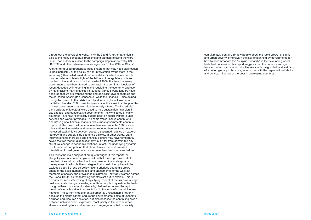throughout the developing world. In Myths 3 and 7, further attention is paid to the many conceptual problems and dangers of using the word 'slum', particularly in relation to the campaign slogan adopted by UN-HABITAT and other urban assistance agencies: "Cities Without Slums".

Another term used throughout these chapters that may need clarification is 'neoliberalism', or the policy of non-intervention by the state in the economy (often called 'market fundamentalism' ), which some people may consider obsolete in light of the failures of deregulatory policies that led to the world stock market crash of 2008. It is true that many governments have been forced to contradict the dominant ideology of recent decades by intervening in and regulating the economy, and even by nationalising many financial institutions. Various world leaders have declared that we are witnessing the end of *laissez-faire* economics and the so-called Washington Consensus, while the Financial Times opined during the run-up to the crisis that "the dream of global free-market capitalism has died".<sup>3</sup> But over two years later, it is clear that the priorities of most governments have not fundamentally altered. The incredible bank bailouts of late 2008 were used to help sustain rich financiers in city capitals, and conservative governments – newly elected in many countries – are now relentlessly cutting back on social welfare, public services and worker privileges. The same 'failed' banks continue to operate in global financial markets, while most governments continue to push all the major hallmarks of neoliberalism since the 1980s: more privatisation of industries and services, reduced barriers to trade and increased capital flows between states, a sustained reliance on exportled growth and supply-side economic policies. In other words, state interventions to shore up ailing financial sectors may have temporarily saved the free market global economy, but it far from constituted any structural change in economic relations. In fact, the underlying dynamic of international competition that characterises the world-market orientation of most governments is more entrenched than ever before.

This forms the main subject of critique throughout this report: the straight-jacket of economic globalisation that forces governments to turn their cities into an attractive home base for financial capital, at the expense of redistributive strategies that would directly benefit the excluded poor. So long as policymakers prioritise economic growth ahead of the basic human needs (and entitlements ) of the weakest members of society, the prevalence of slums will inevitably worsen across the Global South, as the following chapters set out to explain. This is perhaps the most interesting, if mystifying, aspect of the slums challenge. Just as climate change is leading countless people to question the limits of a growth-led, consumption-based globalised economy, the rapid growth of slums is a direct confrontation to the logic of competitive free markets. The current model of development is unsustainable not only because the planet cannot endure the environmental costs of unending pollution and resource depletion, but also because the continuing divide between rich and poor – expressed most visibly in the form of urban slums – is leading to social tensions and segregations that no society

can ultimately contain. Yet few people decry the rapid growth of slums and urban poverty, or forewarn the lack of planning by governments for how to accommodate this "surplus humanity" in the developing world. In its final conclusion, this report suggests that the hope for an urgent transformation of economic priorities rests with the goodwill and solidarity of a united global public voice, as much as with the organisational ability and political influence of the poor in developing countries.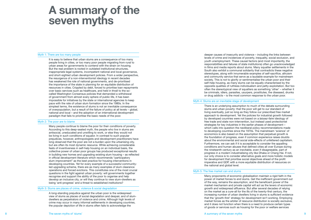#### Myth 1: There are too many people

It is easy to believe that urban slums are a consequence of too many people living in cities, or too many poor people migrating from rural to urban areas for governments to contend with the strain on housing. But the real problem is rooted in outdated institutional structures, inappropriate legal systems, incompetent national and local governance, and short-sighted urban development policies. From a wider perspective, the resurgence of a non-interventionist ideology in recent decades has weakened the role of national governments, and de-prioritised the importance of the state in planning for an equitable distribution of resources in cities. Crippled by debt, forced to prioritise loan repayments over basic services such as healthcare, and held in thrall to the socalled Washington Consensus policies that demanded a withdrawal of government from almost every sphere of public life, it has been impossible for initiatives by the state or international agencies to keep pace with the rate of urban slum formation since the 1980s. In the simplest terms, the existence of slums is not an inevitable consequence of overpopulation, but a result of the failure of policy at all levels – global, national and local – and the adoption of an international development paradigm that fails to prioritise the basic needs of the poor.

### Myth 2: The poor are to blame

Many people continue to blame the poor for their conditions of poverty. According to this deep-seated myth, the people who live in slums are antisocial, uneducated and unwilling to work, or else they would not be living in such conditions of squalor. In contrast to such popular prejudices, however, anthropologists and development practitioners have long observed that the poor are not a burden upon the urbanising city, but are often its most dynamic resource. While achieving considerable feats of inventiveness in self-help housing on an individual basis, the collective power of urban poor groups has produced exceptional results in building new homes and upgrading existing slum housing – as reflected in official development literature which recommends "participatory slum improvement" as the best practice for housing interventions in developing countries. Yet for every example of a successful communityled upgrading scheme, there are as many examples of slum clearance operations and forced evictions. This constitutes one of the most crucial questions in the fight against urban poverty: will governments together recognise and support the ability of the poor to organise and help develop an inclusive city, or will they continue to view slum-dwellers as being 'anti-progress' and a threat to established institutions?

### Myth 3: Slums are places of crime, violence & social degradation

A long-standing prejudice against the urban poor is the widespread view of slums as places of social degradation and despair, and of slumdwellers as perpetrators of violence and crime. Although high levels of crime may occur in many informal settlements in developing countries, the popular depiction of life in slums often fails to acknowledge the

# **A summary of the seven myths**

Many proponents of economic globalisation maintain a rigid faith in the power of market forces to end slums. Get the inefficient government out of the way, remains the assumption, and the beneficent power of the market mechanism and private capital will act as the levers of economic growth and widespread affluence. But after several decades of relying on the market as a cure-all for the ills of the twenty-first century, the increasing number of urban dwellers living in slums is sufficient evidence that the 'growth-first' strategy for development isn't working. Employing market forces as the arbiter of resource distribution is socially exclusive, and it does not function when there is a need to produce certain types of goods or services such as housing for the poor or welfare services

deeper causes of insecurity and violence – including the links between levels of crime and incidences of poverty, inequality, social exclusion, and youth unemployment. These causal factors (and most importantly, the responsibilities and failures of state institutions ) often go unacknowledged in films and media reports about slums. Many squatter settlements in the South also exhibit a communal solidarity that contradicts these negative stereotypes, along with innumerable examples of self-sacrifice, altruism and community service that serve as a laudable example for mainstream society. This is not to glorify or sentimentalise the urban poor and their self-help housing, as many slums can be equally characterised by the opposite qualities of ruthless individualism and petty-exploitation. But too often the stereotypical view of squatters as something 'other' – whether it be criminals, idlers, parasites, usurpers, prostitutes, the diseased, drunks or drug addicts – is the most common response to the urban poor.

### Myth 4: Slums are an inevitable stage of development

There is an underlying assumption to much of the debate surrounding slums and urban poverty: that the poor will get to our standard of living eventually, just so long as they follow our prescribed free market approach to development. Yet the policies for industrial growth followed by developed countries were not based on a *laissez-faire* ideology of free trade and state non-intervention, but instead used protectionist strategies for key industries in the earlier phases of development – which calls into question the neoliberal policy recommendations made to developing countries since the 1970s. The mainstream 'science' of economics is also based on the assumption that perpetual growth is the foundation of progress, even if common experience raises doubts about the environmental and social side-effects of unfettered capitalism. Furthermore, we can ask if it is acceptable to consider the appalling conditions and human abuses that defined cities all over Europe during the nineteenth century as an inevitable, even if disagreeable, part of progress in a modern industrialising city like Dhaka or Chang Hai. If not, our only choice is to consider alternative goals and more holistic models for development that prioritise social objectives ahead of the profit imperative and GDP, with a more equitable distribution of resources on the national and global level.

### Myth 5: The free market can end slums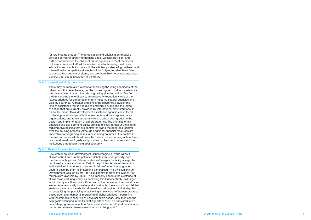for low-income groups. The deregulation and privatisation of public services serves to directly undermine social welfare provision, and further compromises the ability of public agencies to meet the needs of those who cannot afford the market price for housing, healthcare, education and sanitation. In short, the efficiency-oriented, growth-led and internationally competitive strategies of the 'city-enterprise' have failed to combat the problem of slums, and are more likely to exacerbate urban poverty than act as a solution in the future.

#### Myth 6: International aid is the answer

There may be more aid projects for improving the living conditions of the urban poor than ever before, but the current system of donor assistance has clearly failed to stem the tide of growing slum formation. The first problem is simply one of scale; urban poverty reduction is one of the lowest priorities for aid donations from most multilateral agencies and wealthy countries. A greater problem is the difference between the kind of assistance that is needed to ameliorate slums and the forms of action that are currently provided by international aid institutions. In particular, most official development assistance agencies have failed to develop relationships with slum residents and their representative organisations, and rarely assign any role to urban poor groups in the design and implementation of aid programmes. The priorities of aid agencies and development banks are also unlikely to favour the kind of redistributive policies that are central for giving the poor local control over the housing process. Although additional financial resources are imperative for upgrading slums in developing countries, it is doubtful that aid can successfully address the crisis in urban housing unless there is a transformation of goals and priorities by the major powers and the institutions that govern the global economy.

#### Myth 7: There will always be slums

Few writers on urban development issues imagine a 'world without slums' in the future. In the polarised debates on urban poverty, both the 'slums of hope' and 'slums of despair' viewpoints tacitly accept the continued existence of slums. Part of the problem is one of semantics, as it is difficult to conceive of an end to 'slums' when the language used to describe them is limited and generalised. The UN's Millennium Development Goal on slums – to "significantly improve the lives of 100 million slum-dwellers by 2020" – also implicitly accepts the existence of slums as an enduring reality, as achieving this (unacceptably low ) target would hardly result in cities without slums. If urbanisation trends and cities are to become socially inclusive and sustainable, the economic model that sustains them must be wholly reformed and reimagined. A first step lies in recognising the possibility of achieving a new vision of human progress based upon a fundamental reordering of global priorities – beginning with the immediate securing of universal basic needs. Only then can the twin goals enshrined in the Habitat Agenda of 1996 be translated into a concrete programme of action: "adequate shelter for all" and "sustainable human settlements development in an urbanising world".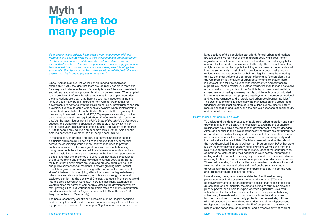*"Poor peasants and artisans have existed from time immemorial; but miserable and destitute villagers in their thousands and urban pavement dwellers in their hundreds of thousands – not in wartime or as an aftermath of war, but in the midst of peace and as a seemingly permanent feature – that is a monstrous and scandalous thing which is altogether abnormal in the history of mankind. We cannot be satisfied with the snap answer that this is due to population pressure." 1*

Since Thomas Malthus first warned of an impending population explosion in 1798, the idea that there are too many people in the world for everyone to share in the earth's bounty is one of the most persistent and widespread myths in popular thinking on development. When applied to the problem of informal housing and slums in developing countries, the implications are clear: that there are too many people sharing the land, and too many people migrating from rural to urban areas for governments to contend with the strain on housing, infrastructure and job provision. It is easy to agree with such a viewpoint when contemplating the foreboding statistics from the United Nations. At the beginning of the century it was estimated that 170,000 people were moving to cities on a daily basis, and they required about 30,000 new housing units per day. **2** As the latest figures from the UN's *State of the World's Cities* report suggest, the world slum population will probably grow by six million people each year unless drastic action is taken (equivalent to more than 115,000 people moving into a slum somewhere in Africa, Asia or Latin America each week, or more than 11 people each minute ) . **3**

In the face of such dramatic figures, it is perhaps understandable if politicians and more privileged citizens perceive that city authorities across the developing world simply lack the resources to provide such vast numbers of the immigrant poor with adequate housing; that governments lack the needed financial resources and capacity to provide basic infrastructure and services to the immigrant poor on such a scale; and that the existence of slums is an inevitable consequence of a mushrooming and increasingly mobile human population. But is it really true that governments are unable to provide adequate housing and public services for all residents in rapidly growing cities, or that population growth and overcrowding is the source of the problem of slums? Chelsea in London (UK), after all, is one of the highest-density urban concentrations in the world, yet it is a much sought after and exclusive district – at the density of Chelsea, you could fit the entire world into the area covered by Senegal.<sup>4</sup> There are also many examples of Western cities that grew at comparable rates to the developing world's fast-growing cities, but without comparable rates of poverty, malnutrition and disease (such as Los Angeles in contrast to Calcutta since 1900, or Tokyo in contrast to Mexico City) . **5**

The basic reason why shacks or houses are built on illegally occupied land in many low- and middle-income nations is straight forward; there is a gap between the cost of the cheapest 'legal' accommodation and what

large sections of the population can afford. Formal urban land markets are too expensive for most of the immigrant poor, while government regulations that influence the provision of land and its cost largely fail to account for the needs of newcomers to the city. The inevitable result is a high proportion of the population living in overcrowded tenements and informal settlements, most of which provide very poor quality housing on land sites that are occupied or built on illegally.<sup>6</sup> It may be tempting to view the sheer volume of poor urban migrants as 'the problem', but the real problem is the failure of urban governments to ensure there is sufficient land for new housing with infrastructure and services to support low-income residents. In other words, the manifest and pervasive urban squalor in many cities of the South is by no means an inevitable consequence of having too many people, but the outcome of outdated institutional structures, inappropriate legal systems, incompetent national and local governance, and short-sighted urban development policies. **7** The existence of slums is essentially the manifestation of a greater and fundamentally political problem of unequal land supply, discriminatory resource allocation and usage, and the age-old questions of social equity and distributive justice.

#### Policy choices, not population growth

To understand the deeper causes of rapid rural-urban migration and slum growth in cites of the South, it is necessary to examine the economic policies that have driven the process of development in recent decades. Although changes in the development policy paradigm are not uniform for all countries in the developing world, the impact of neoliberal economic reforms have contributed in large measure to increases in poverty and inequality since the late 1970s. Much has been said and written about the now-discredited Structural Adjustment Programmes (SAPs ) that were led by the International Monetary Fund (IMF ) and World Bank from the mid-1980s throughout the developing world. Most of the countries who committed to restructuring their economies were heavily indebted and reeling under the impact of soaring oil prices, and thereby susceptible to receiving further loans on condition of implementing adjustment reforms. These policy lending 'conditionalities' – summarised by state withdrawal, free market expansion and privatisation of public services – had a devastating impact on the poorest members of society in both the rural and urban sectors of recipient countries.

In rural areas, the agrarian welfare state that functioned in many poorer countries in the post-war period until the mid-1970s was effectively dismantled under adjustment policies that necessitated the deregulating of land markets, the drastic cutting of farm subsidies and price supports, and a shift to export-oriented agriculture. As a result, subsistence-level small farmers were forced to compete with (heavily subsidised ) transnational food corporations from the industrialised Northern countries. In the formerly protected home markets, millions of small producers were rendered redundant and either dispossessed or displaced, leading to a structural shift of people from rural to urban places of residence through migration, and a "reserve army of migrant

# **Myth 1 There are too many people**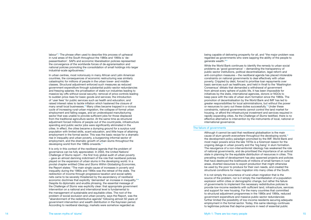labour".<sup>8</sup> The phrase often used to describe this process of upheaval in rural areas of the South throughout the 1980s and 1990s is 'depeasantisation'. SAPs and economic liberalisation policies represented the convergence of the worldwide forces of de-agrarianisation and national policies promoting the consolidation of small holdings into larger industrial-scale agribusiness. **9**

In urban centres, most notoriously in many African and Latin American countries, the consequences of economic restructuring was similarly catastrophic for millions of people in the urban lower- and middleclasses. Structural adjustment enforced such measures as reduced government expenditure through substantial public-sector redundancies and freezing salaries; the privatisation of state-run industries leading to massive lay-offs without social security; removal of price controls leading to sudden price rises for basic goods and services; the introduction of 'user fees' for public services such as health and education; and raised interest rates to tackle inflation which hastened the closure of many small local businesses.**10** Many cities became trapped in a vicious cycle of increasing rural-urban migration, the collapse of formal urban employment and falling wages, and an undeveloped manufacturing sector that was unable to provide sufficient jobs for those displaced from the traditional agriculture sector. At the same time as structural adjustment forced millions of people out of the countryside, infrastructure spending and public sector jobs were significantly eliminated in the cities. In effect, the cities became a dumping ground for a surplus rural population with limited skills, scant education, and little hope of attaining employment in the formal sector. This was the basic recipe for a dramatic rise in inequality and urban poverty, a burgeoning informal sector of employment, and the dramatic growth of urban slums throughout the developing world from the 1980s onwards.**<sup>11</sup>**

It is only in this context of the neoliberal agenda that the problem of governance can be fully appreciated. In 2003, the United Nations' *Challenge of Slums* report – the first truly global audit of urban poverty – gave an almost damning indictment of the role that neoliberal policies played on the expansion of urban slums in the developing world. In a pivotal chapter entitled *Cities and Slums Within Globalizing Economies*, the Report states: "The main single cause of increases in poverty and inequality during the 1980s and 1990s was the retreat of the state. The redirection of income through progressive taxation and social safety nets came to be severely threatened by the ascendancy of neoliberal economic doctrines that explicitly 'demanded' an increase in inequality."**<sup>12</sup>** Despite its diplomatic and erudite phrasing, the essential message of the *Challenge of Slums* was explicitly clear: that appropriate government intervention on a national and international level is fundamental to the management of sustainable and equitable cities. The root of the problem of social exclusion and urban poverty, says the Report, was the "abandonment of the redistributive agenda" following almost 50 years of government intervention and wealth distribution in the Keynsian period. According to neoliberal ideology, markets were somehow regarded as

being capable of delivering prosperity for all, and "the major problem was regarded as governments who were sapping the ability of the people to generate wealth."**<sup>13</sup>**

While the World Bank continues to identify the remedy to urban social problems as 'good governance' – demanding the transparency of public sector institutions, political decentralisation, legal reform and anti-corruption measures – the neoliberal agenda has placed intolerable constraints on national governments to deal effectively with urban poverty. Crippled by debt, forced to prioritise loan repayments over basic services such as healthcare, and held in thrall to the 'Washington Consensus' diktats that demanded a withdrawal of government from almost every sphere of public life, it has been impossible for initiatives by the state, international agencies, donors or NGOs to keep pace with the rate of urban slum formation since the 1980s. The promotion of decentralisation by the World Bank and IMF has led to greater responsibilities for local administrations, but without the power or resources to carry out these duties successfully.**14** Under these constraints, national governments cannot control the land market for housing, or afford the infrastructural investment and services required in rapidly expanding cities. As the *Challenge of Slums* testified, there is no effective alternative to intervention by the instruments of local, national or international governance.

#### The failure of governments

Although it cannot be said that neoliberal globalisation is the main cause of slum growth *everywhere* throughout the developing world,**<sup>15</sup>** the development policy paradigm promoted by the IMF, World Bank and most major powers since the late 1970s is a foremost reason for the ongoing deluge in urban poverty and the 'big bang' in slum formation. The resurgence of a non-interventionist ideology has weakened the role of national governments, and de-prioritised the importance of an activist state in planning for the equitable distribution of resources in cities. This prevailing model of development has also spawned projects and policies that have destroyed the livelihoods of millions of small farmers in rural areas, diverted resources to export production that might otherwise be used by the poor to produce for their own needs, and created the structural conditions for mass migration into many cities of the South.

It is not simply the occurrence of rural-urban migration that is the source of the problem, nor is it simply the manifestation of a population explosion within cities or demographic change, but rather the failure of governments to implement the necessary redistributive policies to provide low-income residents with sufficient land, infrastructure, services and support for new housing. For the many countries that committed to structural adjustment programmes in the 1980s and 1990s, reduced government expenditure and massive public sector redundancies further limited the possibility of low-income residents securing adequate employment in the formal sector. Today, this same ideology continues to legitimise policies that deprive persons in need of essential public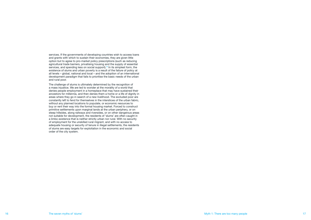services. If the governments of developing countries wish to access loans and grants with which to sustain their economies, they are given little option but to agree to pro-market policy prescriptions (such as reducing agricultural trade barriers, privatising housing and the supply of essential services, and spending less on social support). **<sup>16</sup>** In its simplest form, the existence of slums and urban poverty is a result of the failure of policy at all levels – global, national and local – and the adoption of an international development paradigm that fails to prioritise the basic needs of the urban and rural poor.

The challenge of slums is ultimately determined by the recognition of a mass injustice. We are led to wonder at the morality of a world that denies people employment in a homeplace that may have sustained their ancestors for millennia, and then denies them a home or a life of dignity in areas where they go in search of a new livelihood. The excluded poor are constantly left to fend for themselves in the interstices of the urban fabric, without any planned locations to populate, or economic resources to buy or rent their way into the formal housing market. Forced to construct primitive settlements upon marginal lands at the urban periphery, or on steep hillsides, along railways and riversides, or on other dangerous areas not suitable for development, the residents of 'slums' are often caught in a limbo existence that is neither strictly urban nor rural. With no security of employment for the unskilled rural migrant, and with no access to adequate housing or security of tenure in illegal settlements, the residents of slums are easy targets for exploitation in the economic and social order of the city system.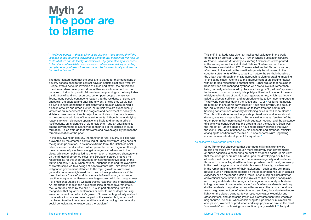## **Myth 2 The poor are to blame**

*"…'ordinary people' – that is, all of us as citizens – have to slough off the vestiges of cap-touching filialism and demand that those in power help us to do what we can do locally for ourselves – by guaranteeing our access to fair shares of available resources – and where essential, by providing complementary infrastructure that cannot be installed locally and that can be provided for all." 1*

The deep-seated myth that the poor are to blame for their conditions of poverty echoes back to the earliest days of industrialisation in Western Europe. With a perverse inversion of cause and effect, the prevalence of extreme urban poverty and slum settlements is blamed not on the vagaries of industrial growth, failures in urban planning or the inequitable distribution of land and resources, but on poor people themselves. Today, many people continue to reason that the residents of slums are antisocial, uneducated and unwilling to work, or else they would not be living in such conditions of deficiency and squalor. Once denied a place in civic life and urban culture, slum residents are subsequently viewed as an impediment to the progress and betterment of society.<sup>2</sup> A sinister consequence of such prejudiced attitudes to the poor is seen in the summary evictions of illegal settlements. Although the underlying reasons for slum clearance operations is likely to differ from official justifications, an intolerance of slum residents – and an unwillingness among governments to acknowledge their role in the causes of slum formation – is an attitude that motivates and psychologically permits the forced relocation of the poor.

In the early twentieth century, the transfer of rural poverty to cities was prevented by the enforced controlling of urban entry from large parts of the agrarian population. In its most extreme form, the British colonial cities of eastern and southern Africa prevented urban migration through the enactment of pass laws, alongside vagrancy ordinances in the cities. While such policies led to the formation of neglected shantytowns on the fringes of cordoned cities, the European settlers brooked no responsibility for the underprivileged or indentured native poor.<sup>3</sup> In the 1950s and early 1960s, when national independence and the overthrow of dictatorships led to a deluge of poor migrants into Third World cities, indigenous government attitudes to the rapid growth of slums was generally no more enlightened than their colonial predecessors. Often described as a "cancer" and thus in need of eradication, a common reaction to squatter settlements was large-scale bulldozing programmes – at times encouraged by Western-trained 'experts' and professionals. **4** An important change in the housing policies of most governments in the South took place by the mid-1970s, in part stemming from the recognition that squatter settlements or other forms of illegal housing are a permanent part of a city's growth. Governments gradually realised that eradication policies were not part of the solution but, in terms of displacing families into worse conditions and damaging their networks of social cohesion, rather exacerbate the problem. **5**

This shift in attitude was given an intellectual validation in the work of the English architect John F. C. Turner, whose publication *Housing by People: Towards Autonomy in Building Environments* was printed in the same year as the first United Nations Conference on Human Settlements was held in 1976. The new wisdom that Turner promoted, after being influenced by the creative ingenuity he witnessed in the squatter settlements of Peru, sought to nurture the self-help housing of the urban poor through an *in situ* approach to slum upgrading (meaning 'in the same place', referring to the improvement of an existing habitat without forced relocation to another site ). Turner argued that housing is best provided and managed by those who are to live in it, rather than being centrally administered by the state through a 'top-down' approach to the reform of urban poverty. His pithily-written book is one of the most widely-read critiques of public housing programmes, which had largely failed to allocate sufficient and appropriate units to low-income groups in Third World countries during the 1960s and 1970s.<sup>6</sup> As Turner famously pointed out in one of his early essays: "Housing is a verb", and as such the industrialised countries had much to learn from the communal housing constructions of rapidly developing cities in the Global South. **7** The role of the state, as well as private professionals and international donors, was reconceptualised in Turner's writings as an 'enabler' of the urban poor in their incrementally-built squatter housing, and the existence of slums was considered less the problem than the solution. Such was the impact of Turner's ideas on housing policies worldwide that even the World Bank was influenced by his concepts and methods, officially changing its position from the mid-1970s to endorse slum upgrading instead of new site development for squatters. **8**

### The collective power of the urban poor

Since Turner first observered that poor people living in slums were building for their own needs much more effectively than governments or public agencies, a compelling amount of evidence backs up his view that the urban poor are not a burden upon the developing city, but are often its most dynamic resource. The immense ingenuity and resilience of those who occupy illegal settlements on private or public land, frequently in the most dangerous or uninhabitable areas of the city, is witnessed in the remarkable diversity of their habitations – such as the self-made houses built on thick bamboo stilts on the edge of marshes, as in Bahia's *alagadosi* or on the ponds outside Dhaka; or on steep hillsides unfit for conventional construction, as in the *favelas* of Rio; or inside floodplains, as in many of Jakarta's *kampungs* or the lagoon community of Makoko in Lagos; or even in cemeteries, as in Cairo's infamous *el-arafa*. Not only do the residents of squatter communities receive little or no expenditure from the government on infrastructure and services, they also tread more lightly on the planet, using far fewer resources (water, electricity and other services ) and generating lower levels of waste than their wealthier neighbours. **9** The slum, when considering its high density, minimal land occupation, low-cost of production and large population size, is the most 'sustainable' form of housing construction by any yardstick.**10** And yet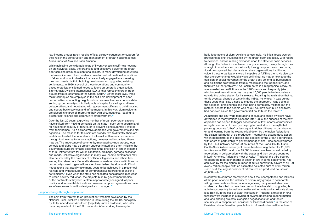low-income groups rarely receive official acknowledgement or support for their role in the construction and management of urban housing across Africa, most of Asia and Latin America.

While achieving considerable feats of inventiveness in self-help housing on an individual basis, the organised and collective power of the urban poor can also produce exceptional results. In many developing countries, the lowest income urban residents have formed into national federations of 'slum' and 'shack' dwellers that are actively engaged in addressing their own needs, both in building new homes and upgrading existing settlements. In 1996, several of these federations and communitybased organisations joined forces to found an umbrella organisation, Slum/Shack Dwellers International (S.D.I. ), that represents urban poor groups from 28 countries of the Global South.**11** At the local level, three main techniques are employed in the self-help development of poor communities; conducting neighbourhood surveys to create census data, setting up community-controlled pools of capital for savings and loan collaboratives, and negotiating with government officials to build housing and secure basic services and infrastructure. In this way, slum residents are placed in charge of improving their own circumstances, leading to greater self-reliance and community empowerment.**<sup>12</sup>**

Over the last 20 years, a growing number of urban poor organisations have shifted from making demands on the state – such as to acquire land for housing or security of tenure, or to prevent being summarily evicted from their homes – to a collaborative approach with governments and aid agencies. The reasons for this shift are broadly two-fold; firstly, there are limitations to what the inhabitants of informal settlements can achieve through their own autonomous actions, however well organised these may be. The importance of community-managed savings groups, local schools and clubs may be greatly underestimated and often invisible, but government support remains essential in the provision of larger systems of trunk infrastructure for water, sanitation, drainage, garbage collection and roads. Collective organisation in many low-income settlements may also be limited by the diversity of political allegiances and ethnic ties among the urban poor. Secondly, demands made on state institutions by community-based organisations are characterised by slow and difficult negotiations that usually take many years to be achieved in a piecemeal fashion, and without support for comprehensive upgrading of existing settlements.**13** Even when the state has allocated considerable resources to urban poverty reduction, the projects built by government bodies or the contractors they hire is often inappropriately designed, of poor quality, and in unsuitable locations unless urban poor organisations have an influence over how it is designed and managed.**<sup>14</sup>**

#### Pro-poor change through cooperation

The shift from "protest to co-production" was first developed by the National Slum Dwellers Federation in India during the 1980s, principally by its founder Jockin Arputhum (popularly known as Jockin, who later became president of the S.D.I. network). After working tirelessly to

build federations of slum-dwellers across India, his initial focus was on protesting against injustices felt by the urban poor, especially with regard to evictions, and on making demands upon the state for basic services. Although the federations achieved many successes, mainly through their strength in numbers and occasionally through support from the courts, Jockin recognised that demands on state organisations had limited value if these organisations were incapable of fulfilling them. He also saw that pro-poor change would always be limited, no matter how large the coalition or social movement of the urban poor, so long as bureaucrats and politicians saw them as trouble-makers and the 'opposition', and therefore as the 'problem'.**15** As Jockin notes in a biographical essay, he was arrested some 67 times in the 1960s alone and frequently jailed, which sometimes attracted as many as 10,000 people to demonstrate outside the police station for his release. Recalling the realisation that led to his eventual change of tactic in the 1980s, he writes: "It was during these years that I saw a need to change the approach. I was doing all the agitation, breaking this and that, being completely militant, but the material benefit to the people was zero. I couldn't even build one toilet. I had not even asked the government if it could build the toilet."**<sup>16</sup>**

As national and city-wide federations of slum and shack dwellers have developed in many nations since the late 1980s, the success of the new approach has helped to trigger acceptance of low-income communities as legitimate parts of the city – helping to break down the myth that poorer groups are 'other' or less equal to richer citizens. In part drawing on and learning from the example laid down by the Indian federations, the citizen-led model of co-production – combining autonomous action, which demonstrates the abilities and capacity of the urban poor groups, with offers of partnership to government agencies – has been promoted by the S.D.I. network across 28 countries of the Global South; first in South Africa (where security of tenure has been negotiated for 23,000 families since 1991, and over 15,800 houses have been constructed by federations in collaboration with the state ); and then across countries in Latin America, Africa and most of Asia.**17** Thailand, the third country to adopt the federation model of action in low-income settlements, has achieved by far the highest number of active community savers of all – at over 5 million people, with an estimated collected sum of \$206 million – and built the largest number of citizen-led, co-produced houses at 40,000 units.**<sup>18</sup>**

In contrast to common stereotypes about the incompetence and laziness of the poor, or about the inability of community groups to collaborate with governments and international agencies, many remarkable case studies can be cited on how the community-led model of upgrading is able to successfully formalise squatter settlements and ameliorate slums [see Box 1]. In the case of Baan Mankong in Thailand, a total of 14,642 families were included in a myriad of diverse upgrading, reconstruction and land-sharing projects, alongside negotiations for land tenure security (on a cooperative, individual or leasehold basis).<sup>19</sup> In the case of Pakistan, where 24 million people live in informal urban settlements or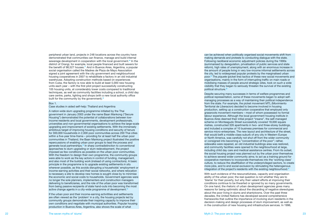can be achieved when politically organised social movements shift from making demands and protests to conducting dialogue with the state. Following neoliberal economic adjustment policies during the 1990s (summarised by deregulation, privatisation of public services and state reform ), high rates of unemployment, along with an enormous increase in the amount of people living in very low-income informal settlements across the city, led to widespread popular protests by the marginalised urban poor.**25** The *piquete* (picket line ) tactics of these new social movements and organisations, mainly in the form of interrupting traffic on main roads or mobilising masses of people around strategic sites, took on such a wide visibility that they began to seriously threaten the survival of the existing political structure.**<sup>26</sup>**

peripheral urban land, projects in 248 locations across the country have demonstrated that communities can finance, manage and build internal sewerage development in cooperation with the local government.**20** In the district of Orangi, for example, local people financed and built sewers for the benefit of 98,527 houses.**21** And in Buenos Aires, Argentina, a popular social organisation called the Madres de Plaza de Mayo Association signed a joint agreement with the city government and neighbourhood housing cooperatives in 2007 to rehabilitate a factory in an old industrial warehouse. Adopting construction methods based on experiences from Cuba, the factory is now able to build at least 5,000 new housing units each year – with the first pilot project successfully constructing 105 housing units, at considerably lower costs compared to traditional techniques, as well as community facilities including a school, a child day care centre, parks, lighting and shops (with a new local authority office built for the community by the government).<sup>22</sup>

Despite securing many successes in terms of welfare programmes and political representation, some of these movements began to adopt selfmanaging processes as a way of maintaining their political independence from the state. For example, the picket movement MTL (Movimiento Territorial de Liberacion ) decided to become involved in housing production, setting up a construction cooperative that employed only grassroots movement members – most of whom possessed no formal labour experience. Although the local government housing institute in Buenos Aires deemed their initial project "insane", the self-managed scheme on Monteagudo Street successfully covered 18,000 square metres, constructed 326 apartments in two- and three-storey buildings, and included a complex of 10 business premises for commercial and service micro-enterprises. The new layout and architecture of the street, that would befit a middle-class suburb of any city in Western Europe or North America, was carefully not shut off from the wider community or consigned into becoming a "concentration of the poor"; rather, sidewalks were repaired, an old industrial buildings area was restored, and community facilities were opened to the neighbourhood at large, including child day care and medical assistance centres. From its outset, the social housing project was planned out by the urban poor themselves to achieve several wider community aims; to act as a training ground for cooperative members to incorporate themselves into the 'working class' culture, to reduce the disaffiliation of the underprivileged sectors, to create more jobs, and to end social exclusion by stimulating the heterogenous integration of the project's residents with the existing neighbourhood.**<sup>27</sup>**

With such evidence of the resourcefulness, capacity and organisation ability of the urban poor, the real question is not whether they are to 'blame' for their poverty, but why their valiant efforts at improving their conditions continue to be thwarted or ignored by so many governments. On one hand, the rhetoric of urban development agencies gives many reasons for being optimistic about the discarding of negative stereotypes about the poor living in slums and shantytowns. Over the past three decades, the United Nations has developed several comprehensive frameworks that outline the importance of involving slum residents in the decision-making and design processes of slum improvement, as well as in the construction of new housing and infrastructure services. In 1996,

#### Box 1.

Case studies in aided self-help: Thailand and Argentina

A nation-wide slum upgrading programme initiated by the Thai government in January 2003 under the name Baan Mankong ("Secure Housing" ) demonstrated the potential of collaborations between lowincome residents and local governments, development professionals, universities and non-governmental organisations to achieve the large-scale upgrading and improvement of existing settlements. With the immensely ambitious target of improving housing conditions and security of tenure for 300,000 households in 2,000 poor communities across 200 Thai cities within a five-year time-frame – providing for at least half the urban poor communities in Thailand, the Baan Mankong project illustrated the positive repercussions of enabling urban poor groups to lead the process and generate local partnerships.**23** In sharp contradistinction to conventional approaches to slum upgrading or slum redevelopment, the project imposed as few conditions as possible on the urban poor communities. With the freedom to design their own programme, the community groups were able to work as the key actors in control of funding, management, and also most of the building work (instead of using contractors ). A basic principle in the programme is to upgrade existing settlements *in situ* wherever possible, as this avoids disrupting a households' employment or income-earning activities and their social networks, and where relocation is necessary a site to develop new homes is sought close by to minimise the economic and social costs to households. Government agencies were no longer the sole planners, implementers and construction managers delivering to beneficiaries, and the role of the urban poor was transformed from being passive recipients of state hand-outs into becoming the most active change agents in a city-wide programme of development.**<sup>24</sup>**

If the urban poor and their income-earning activitities and settlements are often viewed as the 'problem' in a city, the housing projects led by community groups demonstrate their inspiring capacity to improve their own conditions and negotiate with municipal authorities. Popular housing production in Buenos Aires, Argentina, also shows the scale of what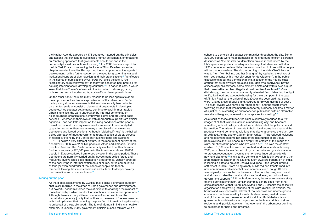the Habitat Agenda adopted by 171 countries mapped out the principles and actions that can lead to sustainable human settlements, emphasising an "enabling approach" that governments should support in the community-based production of housing.**28** In a 2005 landmark report by the UN Task Force on Improving the Lives of Slum Dwellers, an entire chapter was dedicated to 'Recognizing the urban poor as active agents in development', with a further section on the need for greater financial and institutional support of slum-dwellers and their organisations.**29** As reflected in the scores of publications by UN-HABITAT since the late 1970s, "participatory slum improvement" is today the accepted best practice for housing interventions in developing countries.**30** On paper at least, it would seem that John Turner's influence in the formation of slum-upgrading policies has held a long-lasting legacy in official development circles.

On the other hand, there are many reasons to be less optimistic about the empowerment and reconceptualisation of the urban poor. So far, participatory slum improvement initiatives have mostly been adopted on a limited scale or consist of demonstration projects in developing countries.**31** As squatter settlements continue to swell in most rapidlyurbanising cities, the work undertaken by informal community or neighbourhood organisations in improving slums and providing basic services – whether on their own or with appropriate support from official agencies – has had little impact on the living conditions of the poor in overall terms. And for every example of a successful community-led upgrading scheme, there are as many examples of slum clearance operations and forced evictions. Although "aided self-help" is the hailed policy approach of most governments today, a series of global surveys of forced evictions by the Centre on Housing Rights and Evictions (COHRE ) paints a very different picture. In the most recent survey of the period 2003-2006, over 2 million people in Africa and almost 3.5 million people in Asia and the Pacific were forcibly evicted from their homes. Furthermore, nearly 175,000 people in the Americas and over 16,000 people in Europe suffered from forced eviction in the same period. These operations are normally carried out by government police forces and frequently involve large-scale demolition programmes. Usually directed at the poor living in informal settlements or slums, entire communities of tens (or even hundreds ) of thousands of people are forcibly removed, leaving the victims homeless and subject to deeper poverty, discrimination and social exclusion.**<sup>32</sup>**

#### Clearing out the poor

As the global assessments by COHRE make clear, a dramatic paradigm shift is still required in the areas of urban governance and development, but powerful economic forces make it difficult to challenge the mindset of those leaderships which overlook or sanction slum clearance operations.**<sup>33</sup>** Although there are many different causes of forced evictions, the perpetrators generally justify their actions in the name of 'development' – with the implication that removing the poor from informal or illegal housing is on behalf of the public good.**34** The fate of Mumbai in India is a notable example. In January 2005, government officials pushed forward with a

scheme to demolish all squatter communities throughout the city. Some 300,000 people were made homeless in the first round of slum clearance, described as "the most brutal demolition drive in recent times" by the UN's special rapporteur on adequate housing. If all shanties built after 1995 continue to be demolished as announced, up to three million people will be made homeless. The aim, according to the state Chief Minister, was to "turn Mumbai into another Shanghai" by replacing the chaos of slum settlements with a new city open for 'development'. In the public discussions about the demolition plans, a section of the middle-class argued that slum-dwellers are a social burden who deprive tax-paying citizens of public services; some eminent artists and writers even argued that those settled on land illegally should be disenfranchised.**35** More disturbingly, the courts in India abruptly retreated from defending the right to life, livelihood and adequate housing for the urban poor. In the case of Almitra Patel vs. the Union of India (2000 ), the court said that slums were "...arge areas of public land, usurped for private use free of cost". The slum-dweller was named an "encroacher", and the resettlement following eviction that was hitherto mandatory suddenly became a matter of injustice; "...rewarding an encroacher on public land with an alternative free site is like giving a reward to a pickpocket for stealing".**<sup>36</sup>**

As a result of these attitudes, the slum is effectively reduced to a "flat image" of all that is undesirable in a modernising city, and becomes something without history or structure, and devoid of the politics behind its creation. The failure of the state to build low-income housing, and the productivity and community relations that also characterise the slum, are all eclipsed. As the author Gautam Bhan writes: "Thus reduced, evictions and resettlement become not tales of the destruction of individual people's lives and livelihoods, but simply the erasure of the image of a slum, emptied of the people who live within it."**37** This was the context in which 75,000 shanties were demolished in Mumbai early in January 2005, with cleared areas fenced off by barbed wire and guards stationed to prevent reoccupation, even as the homeless lingered outside with nowhere else to go.**38** It is also the context in which Jockin Arputham, the aforementioned leader of the National Slum Dwellers Federation of India, is leading a battle to prevent Dharavi in Mumbai – the largest informal settlement in India – from being simply bulldozed and transformed into new commercial and residential developments (even though Dharavi was originally constructed by the work of the poor by using mud, sand and stones to raise the marshland above flood level, and without any government support).<sup>39</sup> Although Mumbai may be an extreme case study of anti-poor discrimination, similar examples can be cited from other cities across the Global South [see Myths 3 and 7]. Despite the collective organisation and growing influence of the slum-dweller federations, the homes and livelihoods of hundreds of thousands of low-income groups continue to be threatened by formidable state power, market power and global economic pressures. And for all the official rhetoric from governments and development agencies on the human rights of slum residents and 'participatory slum improvement', the urban poor continue to be blamed for being anti-progress.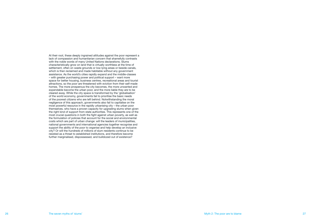At their root, these deeply ingrained attitudes against the poor represent a lack of compassion and humanitarian concern that shamefully contrasts with the noble words of many United Nations declarations. Slums characteristically grow on land that is virtually worthless at the time of settlement, often on waste grounds or low-lying areas or beside canals, which is then reclaimed and made habitable without any government assistance. As the world's cities rapidly expand and the middle-classes – with greater purchasing power and political support – want more space for better housing, business centres, recreational areas and tourist attractions, so the poor are threatened with eviction from their self-made homes. The more prosperous the city becomes, the more unwanted and expendable become the urban poor, and the more liable they are to be cleared away. While the city space is transformed by the 'globalisation' of the world economy, governments fail to prioritise the basic needs of the poorest citizens who are left behind. Notwithstanding the moral negligence of this approach, governments also fail to capitalise on the most powerful resource in the rapidly urbanising city – the urban poor themselves, who have a proven capacity for upgrading slums when given the right kind of support from state authorities. This represents one of the most crucial questions in both the fight against urban poverty, as well as the formulation of policies that account for the social and environmental costs which are part of urban change: will the leaders of municipalities, national governments and international agencies together recognise and support the ability of the poor to organise and help develop an inclusive city? Or will the hundreds of millions of slum residents continue to be resisted as a threat to established institutions, and therefore become further marginalised, dispossessed, and bulldozed out of existence?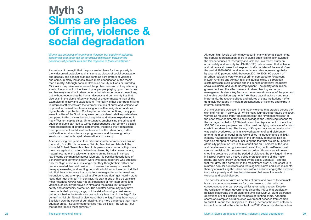*"Slums can be places of cruelty and violence, but equally of solidarity, tenderness and hope; we do not always distinguish between the conditions of people's lives and the response to those conditions." 1*

A corollary of the myth that the poor are to blame for their poverty is the widespread prejudice against slums as places of social degradation and despair, and against slum residents as perpetrators of violence and crime. In many instances, this is more a fabrication of the media than a reality. Although popular films such as City of Gods or Slumdog Millionaire may raise awareness of the problems in slums, they offer only a reductive account of the lives of poor people, playing upon the clichés and hackneyisms about urban poverty that reinforce popular prejudices, but without recognising the human decency and community ties that also exist in the slums (often with equal or greater measure than all the examples of misery and exploitation ). The reality is that poor people living in informal settlements are the foremost victims of crime and violence, as opposed to the middle-classes living in wealthier neighbourhoods with higher levels of protection. Contrary to popular perceptions, many poor areas in cities of the South may even be considered relatively safe when compared to the daily robberies, burglaries and attacks experienced in many Western capital cities. Unfortunately, emphasising the crime and squalor in slums can lead to worse consequences than simply a biased misrepresentation of informal settlements, including the victimisation, disempowerment and disenfranchisement of the urban poor; further justification for slum-clearance programmes; and the wrong policy solutions to deal with rapid urbanisation and poverty.

After spending two years in four different squatter communities around the world, from Rio de Janeiro to Nairobi, Mumbai and Istanbul, the journalist Robert Neuwirth writes of his personal encounter with popular prejudice against squatters. When interviewed by Indian newspapers, magazines, radio and television stations during his stay in various low-income communities across Mumbai, his positive descriptions of generosity and communal spirit were twisted by reporters who stressed only the 'high crime in slums' angle that they thought their editors and readers wanted. Neuwirth writes: "…it seems that many in the elite, newspaper-reading and -writing population in Mumbai have had it drilled into their heads for years that squatters are neglectful and criminal and intransigent, and attempts to tell a different story don't get heard – or, at least, don't get printed."<sup>2</sup> In contrast, his stay in one of Rio de Janeiro's most notorious *favelas* was not an experience of non-stop crime and violence, as usually portrayed in films and the media, but of relative safety and community protection. The squatter community may have been controlled by drug gangs, but the risk of running a business or getting robbed in the *favela* was dramatically less than in the 'legal' city centre. **3** In Nairobi, Neuwirth also found that the 'legal' neighbourhood of Eastleigh was the centre of gun dealing, and more dangerous than many squatter areas. "Squatter communities may be illegal," he writes, "but that doesn't make them criminal." **4**

Although high levels of crime may occur in many informal settlements, the popular representation of life in slums often fails to acknowledge the deeper causes of insecurity and violence. In a recent study on urban safety and security by UN-HABITAT, data revealed that violence and crime are at present widespread in all countries of the world. Over the period 1980-2000, total recorded crime rates increased globally by around 30 percent; while between 2001 to 2006, 60 percent of all urban residents were victims of crime, compared to 70 percent in Latin America and Africa.<sup>5</sup> In all the studies cited, a correlation exists between levels of crime and incidences of poverty, inequality, social exclusion, and youth unemployment. The quality of municipal government and the effectiveness of urban planning and urban management is also a key factor in the victimisation rates of the poor and vulnerable population segments.<sup>®</sup> Yet these causal factors – and most importantly, the responsibilities and failures of state institutions – often go unacknowledged in media representations of violence and crime in informal settlements.

A prime example was seen in the major violence that erupted across the slums of Nairobi in early 2008. While many journalists portrayed the street warfare as resulting from "tribal barbarism" and "irrational hatreds" of the poor, fewer commentaries acknowledged the underlying reasons for the carnage that led to 1,200 deaths and the displacement of more than 300,000 innocent people – one of the most horrifying instances of a 'slum clash' in modern times. The history of Kenya's poor resource allocation was easily overlooked, with its skewed patterns of land distribution among the most unequal in the world since its independence in 1963. In many newspapers, reportage of the ethnically-motivated killings was also stripped of context, including the fact that around 60 percent of the city population live in slum conditions on 5 percent of the land and receive almost no government protection, public welfare or basic service provision. At the same time as police officers were witnessed shooting protesters during the period of violence, the privileged minority in Nairobi were given a heavy police protection along all the major roads, and were largely unharmed by the social upheaval – another fact that drew little comment in the mainstream pres1s. **<sup>7</sup>** The effect is to reinforce popular prejudices and fears against slums and slum residents, thereby criminalising the urban poor without acknowledging the extreme inequality, poverty and disenfranchisement that sows the seeds of violence and social disorder.

The popular view of slums as centres of crime and havens for criminals is also a commonplace excuse for governments to deal with the consequences of urban poverty whilst ignoring its causes. Despite the realisation of most governments since the 1970s that eradication policies exacerbate the problem of slums [see Myth 2], slum-clearance operations are still justified on the basis of fighting crime. Although scores of examples could be cited over recent decades from Zambia to Kuala Lumpur, the Philippines to Beijing, perhaps the most notorious incident occurred in the aftermath of the 2005 Zimbabwe elections. In a

# **Myth 3 Slums are places of crime, violence & social degradation**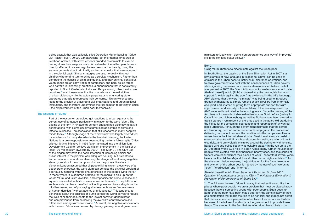police assault that was callously titled Operation Murambasvina ("Drive Out Trash" ), over 700,000 Zimbabweans lost their homes or source of livelihood or both, with street vendors branded as criminals to excuse tearing down their soapbox stalls. An estimated 2.4 million people were directly affected in a campaign to 'restore order' to the city, using the same arguments about criminality and urban squalor that were adopted in the colonial past.<sup>8</sup> Similar strategies are used to deal with street children who tend to turn to crime as a survival mechanism. Rather than combating the causes of child delinquency and their criminal behaviour, youth gangs are an easy victim of paramilitary and para-police forces who partake in 'cleansing' practices, a phenomenon that is consistently reported in Brazil, Guatemala, India and Kenya among other low-income countries.<sup>9</sup> In all these cases it is the poor who are the real victims of urban violence, while the actual perpetrator is an uncaring state apparatus that fails to represent their concerns.**10** Urban violence also leads to the erosion of grassroots civil organisations and urban political institutions, and therefore undermines the real solution to poverty in cities – the empowerment of the urban poor themselves.**<sup>11</sup>**

#### The language of 'slums'

Part of the reason for prejudiced gut reactions to urban squalor is the current use of language, particularly in relation to the word 'slum'. The origins of the term in nineteenth-century England had distinctly negative connotations, with slums usually stigmatised as centres of crime and infectious disease – an association that still resonates in many people's minds today.**12** Although usage of the word 'slum' was largely discredited by academics for many decades in the twentieth century, the United Nations is largely responsible for resurrecting the term following its 'Cities Without Slums' initiative in 1999 (later translated into the Millennium Development Goal to "achieve significant improvement in the lives of at least 100 million slum-dwellers by 2020" – see Myth 7 ). The UN's use of the slogan may have the noble intention of increasing official and public interest in the problem of inadequate housing, but its historical and emotional connotations also carry the danger of reinforcing negative stereotypes about the urban poor. Just as the popular literature of Victorian London assumed that all people living in slum areas were of a degenerate character, the word slum can confuse the physical problem of poor quality housing with the characteristics of the people living there.**<sup>13</sup>** In recent years, it is common practice for the media to pick up on the words 'slum' and 'slum-dwellers' and emphasise the crime, disease and squalor associated with life in low-income settlements.**14** The plethora of such reports can have the effect of kindling fear and foreboding from the middle-classes, and of portraying slum residents as an "anomic mass of human derelicts" without agency or uniqueness.**15** This tendency to generalise about the qualities of slums across the world serves to reduce the lives of all their occupants to the lowest common denominator, and can prevent us from perceiving the awkward contradictions and differences among slums worldwide.**16** At worst, the negative associations with the word 'slum' can be used by demagogic mayors and government

In South Africa, the passing of the Slum Elimination Act in 2007 is a key example of how language in relation to 'slums' can be used to criminalise the urban poor, to justify slum-clearance operations, and to allow governments to deal with the consequences of urban poverty whilst ignoring its causes. In a press statement issued before the bill was passed in 2007, the South African shack-dwellers' movement called Abahlali baseMjondolo (AbM ) explained why the new legislation would support "the rich against the poor", as evidenced in the bill's language. AbM claimed that the word "eliminate" was being used to introduce draconian measures to simply remove shack-dwellers from informallyoccupied land, instead of giving them appropriate support for slum improvement and security of tenure. Many of the fears expressed by AbM were sadly validated in the ensuing years. Since the passing of the Act, tens of thousands of shack-dwellers across South Africa (mainly in Cape Town and Johannesburg, as well as Durban ) have been evicted to transit camps – reminiscent of the sites used in the apartheid era during the Fifites for the screening, segregation and repatriation of unwanted black urbanites. Although the government maintains that the camps are temporary, 'formal' and an acceptable stop-gap in the process of delivering permanent houses, the conditions in the camps are often far worse than in the informal shantytowns. Most transit camps consist of one-room shacks with tin roofs and paper-thin walls, are often without electricity, and are typically encircled around the perimeter with fencing, barbed wire and police security at lockable gates.**18** In the run up to the 2010 football World Cup held in South Africa, many further thousands of people were evicted from their homes in nearby sites, and thousands of traders were banned from their places of work – as foretold several years before by Abahlali baseMjondolo and other human rights activists.**19** As the statement below explains, the justification for the forced relocation and eviction of the urban poor is marked by the use of such words as "slum", "eradication" and "informal".

ministers to justify slum demolition programmes as a way of 'improving' life in the city [see box 2 below].**<sup>17</sup>**

### Box 2.

#### Using 'slum' rhetoric to discriminate against the urban poor

### *Abahlali baseMjondolo Press Statement Thursday, 21 June 2007: Operation Murambatsvina comes to KZN – The Notorious Elimination &*

*Prevention of Re-emergence of Slums Bill.<sup>20</sup>*

"…The Bill uses the word 'slum' in a way that makes it sound like the places where poor people live are a problem that must be cleared away because there is something wrong with poor people. But it does not admit that the poor have been made poor [by] the same history of theft and exploitation that made the rich to be rich [sic] and it does not admit that places where poor people live often lack infrastructure and toilets because of the failure of landlords or the government to provide these things. The solution to the fact that we often don't have toilets in our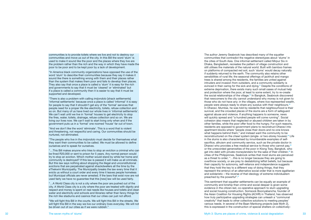The author Jeremy Seabrook has described many of the squatter communities that contradict the negative stereotypes about 'slums' in the cities of South Asia. One informal settlement called Mirpur Six in Dhaka, Bangladesh, recreates the pattern of village construction and still utilises the materials of the natural world. Built with bamboo frames on platforms of compacted red soil, such 'slums' would decay naturally if suddenly returned to the earth. The community also retains other sensibilities of rural life; the seasonal offerings of jackfruit and mango trees is shared among the residents, the families are united against intruders and invasion from outsiders, and a community solidarity is evinced in their caring for the sick and dying.**21** Despite the conditions of extreme deprivation, there exists many such small oases of mutual help and protection where the poor, at least to some extent, try to re-create the social relationships of the village.**22** In Bangkok, Seabrook discovered that newcomers to the city cannot understand why money is not given to those who do not have any; in the villages, where rice represented wealth, people were always ready to share any surplus with their neighbours.**<sup>23</sup>** In Dharavi, Mumbai, he was told by residents that neighbourhood is their survival, and the crowded places of the slums are a form of safeguard against abuse and violence. If anything happens to someone, news will quickly spread and "a hundred people will come running". Social cohesion also means that neglected or abused children are taken in by other families, while the poor offer food to the hungry. For such reasons, residents are opposed to government plans to reconstruct Dharavi into apartment blocks where "people close their doors and no-one knows what happens behind them," and instead want the community to be reconstructured on the *chawl* system (single- or two-storey houses).<sup>24</sup> Life in the slums is also characterised by innumberable examples of selfsacrifice, altruism and community service, such as the private doctor in Dharavi who provides a free medical service to those who cannot pay,**<sup>25</sup>** or the unrecorded generosities of the poor in Klong Toey, Bangkok, who get into debt with private moneylenders for the sake of their children.**26** In cities of the Philippinnes, Seabrook writes that most slums are perceived as a threat to order; "…this is no longer because they are going to overthrow society, or are prey to destabilizing leftist beliefs, but because their capacity for autonomy, self-reliance and independence suggests that they hold the key to a different way of doing things, that they represent the embryo of an alternative social order that is more egalitarian and solidaristic – the reverse of that ideology of extreme individualism preached by the powerful".**<sup>27</sup>**

This sentiment that squatter settlements can be equally an example of community and kinship than crime and social despair is given some evidence in the citizen-led, co-operative approach to slum upgrading and social housing construction. Somsook Boonyabancha, founder of the Asian Coalition for Housing Rights (ACHR ) in Thailand, has observed how truly participative upgrading strategies can unleash a "communal creativity" that leads to other collective solutions to meeting peoples' various needs. In several of the Baan Mankong projects [see Myth 2], this is expressed in the construction of special shelters on collectively-

#### 32 The seven myths of 'slums' 33 Myth 3: Slums are places of crime, violence & social degradation

communities is to provide toilets where we live and not to destroy our communities and move us out of the city. In this Bill the word 'slum' is used to make it sound like the poor and the places where they live are the problem rather than the rich and the way in which they have made the poor to be poor and to be kept poor by a lack of development.

"In America black community organizations have opposed the use of the word 'slum' to describe their communities because they say it makes it sound like there is something wrong with them and their places rather than the system that makes them poor and fails to develop their places. They also say that once a place is called a 'slum' it is easy for the rich and governments to say that it must be 'cleared' or 'eliminated' but if a place is called a community then it is easier to say that it must be supported and developed.

"There is also a problem with calling *imijondolo* [shack settlements] 'informal settlements' because once a place is called 'informal' it is easy for people to say that it shouldn't get any of the 'formal' services that people need for a proper life like electricity, toilets, refuse collection and so on. But many of us have lived our whole lives in 'informal settlements'. We can't wait until we live in 'formal' houses to get electricity to stop the fires, water, toilets, drainage, refuse collection and so on. We are living our lives now. We can't wait to start living only when and if the government puts us in a 'formal' one roomed 'house' far out of town.

"And we don't like the word 'eliminate'. This is a word that is violent and threatening, not respectful and caring. Our communities should be nurtured, not eliminated.

"The people who live in the *imijondolo* must decide for themselves what they want their communities to be called. We must be allowed to define ourselves and to speak for ourselves.

"…This Bill makes anyone who tries to stop an eviction a criminal who can be fined R20,000 or sent to prison for 5 years. Any normal person would try to stop an eviction. Which mother would stand by while her home and community is destroyed? If this law is passed it will make us all criminals. But this law says nothing about stopping the illegal and unconstitutional evictions that are perpetrated against shackdwellers all the time by the eThekwini Municipality. The Municipality breaks the law every time that it evicts us without a court order and every time it leaves people homeless but Municipal officials are never arrested. If the laws that exist now are not used fairly we have no guarantee that this [new] law will be used fairly.

"…A World Class city is not a city where the poor are pushed out of the city. A World Class city is a city where the poor are treated with dignity and respect and money is spent on real needs like houses and toilets and clean water and electricity and schools and libraries rather than fancy things for the rich like stadiums and casinos that our cities can just not afford.

"We will fight this Bill in the courts. We will fight this Bill in the streets. We will fight this Bill in the way we live our ordinary lives everyday. We will not be driven out of our cities as if we were rubbish."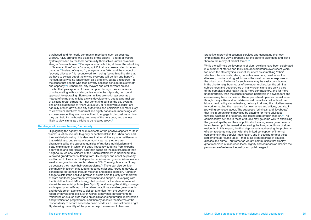purchased land for needy community members, such as destitute widows, AIDS orphans, the disabled or the elderly – a form of welfare system provided by the local community themselves known as a *baan klang* or 'central house'.**28** Boonyabancha calls this, at base, the rebuilding of "human culture" and a "sharing spirit" that has been eroded in recent decades.**29** Instead of saying 'I', everyone uses 'We', and the concept of "poverty alleviation" is reconceived from being "something like dirt that we have to sweep out of the city so everyone will be rich and happy". Instead, poverty is no longer seen as a problem, but as a resource – in the sense that people who face poverty possess considerable strength and capacity.**30** Furthermore, city mayors and civil servants are led to alter their perceptions of the urban poor through their experience of collaborating with social organisations in the city-wide, horizontal approach to upgrading. Slum communities are no longer seen as a hotbed of crime that inhibits a city's development, but as a normal part of existing urban structures – not something outside the city system. The artificial attitudes of 'them versus us', or 'illegal versus legal', are naturally broken down, and city authorities and politicians are more likely to view 'slum-dwellers' as normal and highly capable human beings. As a consequence, they are more inclined to engage in discussions on how they can help fix the housing problems of the very poor, and are less likely to view slums as a blight to be 'cleared away'.**<sup>31</sup>**

#### The danger of over-emphasising 'community'

Highlighting the agency of slum residents or the positive aspects of life in 'slums' is, of course, not to glorify or sentimentalise the urban poor and their self-help housing. It is also true that for all the squatter settlements that exhibit a strong sense of community, as many others are characterised by the opposite qualities of ruthless individualism and petty-exploitation in which the poor, frequently suffering from extreme deprivation and oppression, turn their backs on the misfortunes of their neighbours. As one resident of the Kibera settlement in Nairobi put it (a widowed grandmother suffering from HIV, hunger and absolute poverty. and forced to look after 12 dependent children and grandchildren inside a small corrugated-roofed rented shanty); "Eh! The neighbours can't help us because they have their own problems."**32** There can also be little community in a slum that suffers repeated evictions, forced removals, or constant uprootedness through violence and police coercion. A greater danger exists if the positive profiles of slums help to justify a withdrawal of state and local government investment and support, in keeping with the World Bank and IMF ideology that pushed for the abandonment of state-interventionist policies [see Myth 1]. In stressing the ability, courage and capacity for self-help of the urban poor, it may enable governments and development agencies to deflect attention from the poverty crisis faced by developing cities. Even worse, it may help governments to rationalise or excuse cuts made on social spending through liberalisation and privatisation programmes, and thereby absolve themselves of the responsibility to secure access to basic needs as a universal human right. By stressing the ability of the poor to help themselves, to become

proactive in providing essential services and generating their own employment, the way is prepared for the state to disengage and leave them to the mercy of market forces.**<sup>33</sup>**

While the self-help achievements of slum-dwellers have been celebrated in a number of stories and television documentaries over recent years, too often the stereotypical view of squatters as something 'other' – whether it be criminals, idlers, parasites, usurpers, prostitutes, the diseased, drunks or drug addicts – is the most common response to the urban poor. Evidence for such views may be easily corroborated in the ghetto neighbourhoods of low-income cities, but the criminal sub-cultures and degenerates of many urban slums are only a part of the complex global reality that is more contradictory, and far more uncomfortable, than the sensationalised portrayals in newspapers and cinemas may have us believe. These prejudiced opinions persist even though many cities and industries would come to a halt without the labour provided by slum-dwellers, not only in driving the middle-classes to work or hauling the materials for new homes and offices, but also in providing domestic labour. The supposed 'criminals' and 'layabouts' that live in urban slums may also be catering for more privileged families, washing their clothes, and taking care of their children.**34** The complacency evinced in these attitudes may go some way to explaining the general apathy and lack of political will among many governments to implement policies aimed at improving the living conditions of slum residents. In this regard, the first step towards addressing the problems of slum residents may start with the limited conception of informal settlements in the popular imagination, and in ceasing to treat these settlements as 'slums' at all – that is, as blighted areas of squalor, disease and crime – but rather as vibrant communities that display great reservoirs of resourcefulness, dignity and compassion despite the persistence of extreme inequality and public neglect.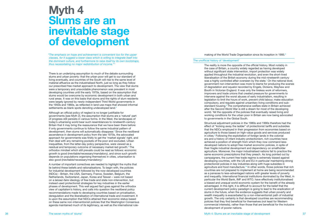*"The emphasis on hope and achievement is convenient too for the upper classes, for it suggest a lower class which is willing to integrate itself into the dominant culture, and furthermore to raise itself by its own bootstraps, thus necessitating no major redistribution of income." 1*

There is an underlying assumption to much of the debate surrounding slums and urban poverty: that the urban poor will get to our standard of living eventually, and countries of the South will rise to the same level of material affluence as the industrialised North, just so long as they follow our prescribed free market approach to development. The view that slums were a temporary and unavoidable phenomenon was prevalent in most developing countries until the early 1970s, based on the assumption that slums would be overcome by economic development in both urban and rural areas. It was on this basis that slums and the rights of slum residents were largely ignored by newly-independent Third World governments in the 1950s and 1960s, as reflected in land-use maps that showed informal settlements as blank spots denoting undeveloped land. **2**

Although an official policy of neglect is no longer justifiable for governments [see Myth 2], the assumption that slums are a 'natural' part of progress still persists in various forms. In the West, the landscapes of today's urbanising world bear such resemblances to nineteenth-century Britain that it may bring the reassurance that we have been there before: if only governments continue to follow the same industrial pattern of development, then slums will automatically disappear.<sup>3</sup> Since the neoliberal ascendence in development policy from the late 1970s, the advocated approach for governments was firstly to get the 'market signals' right, and then deal with any remaining pockets of the poor and excluded. Urban inequalities, from the latter-day policy perspective, were viewed as a residual and temporary outcome of necessary market-led growth.<sup>4</sup> The orthodox mindset which still prevails could be read as follows: economic growth is good (inevitable/necessary/mandatory), and since such growth depends on populations organising themselves in cities, urbanisation is also good (inevitable/necessary/mandatory) . **5**

A number of important correctives are needed to highlight the myths that lie behind these beliefs and rationalisations. To begin with, the policies for industrial development followed by the now-developed countries (NDCs ) – Britain, the USA, Germany, France, Sweden, Belgium, the Netherlands, Switzerland, Japan, Korea and Taiwan – were not based on a *laissez-faire* ideology of free trade and state non-intervention, but instead used protectionist strategies for key industries in the earlier phases of development. This well argued fact goes against the orthodox view of capitalism's history, and calls into question the neoliberal policy recommendations made to developing countries based on privatisation, deregulation and the liberalisation of international trade and investment. It is upon the assumption that NDCs attained their economic status based on these same non-interventionist policies that the Washington Consensus agenda maintained much of its legitimacy, as well as the international rulemaking of the World Trade Organisation since its inception in 1995. **6**

### The unofficial history of 'development'

The reality is more the opposite of the official history. Most notably in the case of Britain, a country widely regarded as having developed without significant state intervention, import protection was widely applied throughout the industrial revolution, and even the short-lived liberalisation of the British economy during the mid-nineteenth century was a highly controlled affair overseen by the state.<sup>7</sup> On the national level, government non-intervention was more to blame for producing the scenes of degradation and squalor recorded by Engels, Dickens, Mayhew and Booth in Victorian England. It was only the tireless work of reformers, improvers and trade unions that created pressure for governments to intervene against the worst abuses of early industrialism, resulting in legislation to limit the hours of work, prevent child labour, make education compulsory, and regulate against unsanitary living conditions and substandard housing.<sup>8</sup> The comprehensive welfare state in Britain achieved after the Second World War is still a dream for most of the developing world. Yet the opposite of the policies that eventually raised living and working conditions for the urban poor in Britain are now being advocated to governments in the Global South.

Structural adjustment policies in the 1980s and 1990s therefore had the effect of "kicking away the ladder" of protectionist tariffs and subsidies that the NDCs employed in their progression from economies based on agriculture to those based on high-value goods and services produced in cities. **9** Following the exploitation of foreign lands in the colonial era and a history of infant industry protectionism, rich countries have achieved a position of strength from which they now command lessdeveloped nations to adopt free market economic policies, in spite of their fragile industrial development and dependency on smallholder agriculture. Moreover, the major industrialised nations fail to practice the same economic prescriptions that they preach. As long pointed out by campaigners, the current free trade regime is extremely biased against developing countries, with the US and EU in particular maintaining strong protectionist policies in key industries along with huge subsidies in agriculture and food manufacture.**10** In other words, those policies that rich countries are not prepared to implement at home are being recommended as a panacea to less-advantaged nations with greater levels of poverty and inequality. International financial institutions dominated by the West, in particular the World Bank, IMF and WTO, have effectively institutionalised a biased and unequal world economic system for the benefit of the already advantaged. In this light, it is difficult to account for the belief that the current development policy paradigm is going to lead to the eradication of slums in the future, when the evidence suggests that urban poverty and wealth inequality is *exacerbated* by a non-interventionist path of industrial growth. The only certainty is that developed countries are recommending policies that they find beneficial for themselves (not least for Western commercial interests ), rather than those that are beneficial for the inclusive development of poorer nations.

# **Myth 4 Slums are an inevitable stage of development**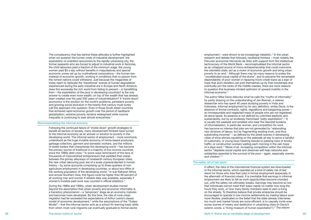The complacency that lies behind these attitudes is further highlighted when we question the human costs of industrial development: the exploitation of unskilled newcomers to the rapidly-urbanising city, the former peasants who are forced to adjust to industrial work in factories, the child labourers paid a fraction of the minimum wage, the young women paid \$5 a day without benefits in *maquiladoras* and special economic zones set up by multinational corporations – the human raw material of economic growth, working in conditions that no person from the richest nations could withstand. Just because the megacities of today seem to replicate the 'transitional' scenes of human degradation experienced during the early industrial era in Europe and North America, does this exonerate the rich world from failing to prevent – or benefitting from – the exploitation of the poor in developing countries? Is the only answer to create even more wealth, on top of the wealth that has already been created over the past 200 years of industrialisation? If 'trickle-down' economics is the solution for the world's problems, persistent poverty and growing social exclusion in the twenty-first century must surely call this approach into question. Even in those South Asian countries that achieved rapid economic growth over the period of neoliberal globalisation, extreme poverty remains widespread while income inequality is continuing to soar almost everywhere.<sup>11</sup>

#### Reconceptualising the informal economy

Following the continued failure of 'trickle-down' growth strategies to benefit all sectors of society, many development thinkers have turned to the informal economy as an answer or solution to poverty in the developing world. The informal sector of employment – more commonly understood as the huge invisible economy of home-based producers, garbage collectors, garment and domestic workers, and the millions of street traders that characterise the developing world – has become the primary source of livelihood in a majority of low-income countries since the 1980s debt crisis.**12** In some ways reminiscent of the tens of thousands of impoverished entrepreneurs that peddled their wares between the grimey alleyways of nineteenth century European cities, the new urban labouring poor are of a scale unprecendented in human history – by some accounts comprising up to three-quarters of nonagriculture employment in developing countries, or about two-fifths of the working population of the developing world.**13** In sub-Saharan Africa and across Southern Asia, this figure could be higher than 80 percent of all working men and women if reliable data was available, especially if women's invisible paid work was counted in official statistics.**<sup>14</sup>**

During the 1980s and 1990s, urban development studies moved beyond the assumption that urban poverty and economic informality is a transitory phenomenon – a 'temporary' stage as an economy matures and becomes more developed. By this time, the rate of rural-urban migration had far exceeded the expectations of Arthur Lewis's classic model of economic development,**15** while the assumptions of the "Todaro Model" – that the informal sector acts as a school for learning basic skills from which most rural migrants can eventually graduate to formal-sector

### 38 The seven myths of 'slums' 39 Myth 4: Slums are an inevitable stage of development

employment – were shown to be increasingly idealistic.**16** In the urban research and debate that followed, neoliberal thinkers – most notably the Peruvian economist Hernando de Soto with support from the intellectual technocracy of the World Bank – reconceptualised the informal sector as an untapped source of micro-entrepreneurship that could overcome the clientelist state, act as a motor of economic growth and bring urban poverty to an end.**17** Although there may be many reasons to praise the "uncelebrated social capital of the slums", and to perceive the remarkable dependability of poor women in repaying micro-credit loans as a sign of hope that slum-dwellers can pick themselves up by their bootstraps and eventually join the ranks of the middle-classes, there are more reasons to question this business-minded optimism of upward mobility in the informal economy.**<sup>18</sup>**

The author Mike Davis debunks what he calls the "myths of informality" by partly drawing on the understanding of Jan Breman, a veteran researcher who has spent 40 years studying poverty in India and Indonesia. Informal employment by its very definition, writes Davis, is the absence of formal contracts, rights, regulations and bargaining power – an immeasurable and neglected mass of people who are not registered, let alone taxed. Its essence is not defined by unlimited elasticity and sustainability, but by an endlessly franchised "petty exploitation".**19** It is usually the weakest and smallest who bear the heaviest burdens of informalisation, in particular women, and competition for work has become so intense that jobs are not generated by "elaborating new divisions of labour, but by fragmenting existing work, and thus subdividing incomes" – as defined by the street scenes in developing cities of shoe-shiners squatting on the sidewalk all day to serve a handful of customers, or young boys hawking tissues to passing rows of smoky traffic, or construction workers waiting each morning in the vain hope of a days work.**20** Worst of all, increasing competition within the informal sector "depletes social capital and dissolves self-help networks and solidarities essential to the survival of the poor – again, especially women and children".**<sup>21</sup>**

### The safety net of last resort

In effect, the risks of the international financial system are downloaded to the informal sector, which operates as a kind of safety net of last resort for those who lose their jobs in formal employment (especially in the aftermath of financial crises ). It is inevitable that earnings in informal employment are likely to fall as work opportunities become crowded out, until the safety net ultimately breaks. Earnings may become so low that individuals cannot meet their basic needs no matter how long the hours they work, or how many family members seek to earn a living on the streets. To therefore believe that private enterprise should be encouraged to operate in low-income settlements by making labour even more flexible, predicated on the belief that the state already intervenes too much and market forces are more efficient, is to casually invite even worse scenes of misery and destitution in urbanising cities (in Davis's solemn words, a "living museum of human exploitation" ) . **<sup>22</sup>** The reform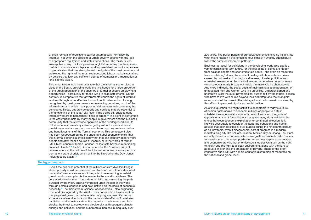200 years. The policy papers of orthodox economists give no insight into what might happen if the remaining four-fifths of humanity successfully follow the same development patterns.**<sup>27</sup>**

Business-as-usual for politicians in the developing world also spells a very uncertain long-term future, for the real costs of slums are hidden from balance sheets and economics text books – the drain on resources from 'containing' slums, the costs of dealing with humanitarian crises caused by outbreaks of contagious diseases, of water pollution from untreated sewerage, or the costs of keeping order when unrest or mass violence occasionally breaks out inside the more volatile shantytowns. And more indirectly, the social costs of maintaining a large population of uneducated men and women who live unfulfilled, underdeveloped and uncreative lives; the quiet psychological burden felt by the middle-classes who have to live with slums beyond their doorstep; and the intangible moral costs felt by those in the privileged world who remain unmoved by this affront to personal dignity and social justice.

As a final question, we might ask if it is acceptable in today's culture of human rights norms to condemn millions of people to a life in subsistence-wage sweat shops as a point of entry into the game of capitalism, a type of forced labour that gives many slum residents the choice between economic exploitation or continued abjection. Is it likewise acceptable to consider the appalling conditions and human abuses that defined cities all over Europe during the nineteenth century as an inevitable, even if disagreeable, part of progress in a modern industrialising city like Kolkata, Jakarta, Mexico City or Chang Hai? If not, our only choice is to consider alternative goals and more holistic models for development, no longer predicated on endless capital accumulation and economic growth, that prioritise social objectives (such as the right to health and the right to a clean environment, along with the right to adequate shelter and the eradication of poverty) ahead of the profit imperative and GDP, with a more equitable distribution of resources on the national and global level.

or even removal of regulations cannot automatically 'formalise the informal', not when the problem of urban poverty begins with the lack of appropriate regulations and state interventions. The reality is less susceptible to any quick-fix panacea: a global economy that has proven unable to absorb a vast displaced and impoverished humanity, a process of globalisation that has strengthened the rights of the most powerful and weakened the rights of the most excluded, and labour markets sustained by policies that lack any sufficient degree of compassion, imagination or long-sighted vision.

This is not to overlook the crucial role that the informal sector plays in cities of the South, providing work and livelihoods for a large proportion of the urban population in the absence of formal or secure employment opportunities – particularly for those living in slum settlements. On the contrary, it is imperative that governments uphold the rights of informal workers through more effective forms of public intervention. As long recognised by most governments in developing countries, much of the informal sector in which many poor individuals earn an income may be considered illegal, but provide goods and services that are essential to the functioning of the 'legal' city (even if the police still subject many informal workers to harassment, fines or arrest ) . **<sup>23</sup>** The point of contention is the assumption held by many people in government and the business community that the streetwise operators of the "underground circuits of the economy" are always able to get by without expensive social provisions or welfare support, unencumbered as they are from the tax and benefit systems of the 'formal' economy. This complacent view has been resurrected during the ongoing global economic crisis: that the informal sector is a critical safety net that can infinitely absorb more people and offer them a source of income, or in the words of former IMF Chief Economist Simon Johnson, "a last safe haven in a darkening financial climate".**24** As Jan Breman contests, the "massive army of reserve labour at the bottom of the informal economy is entrapped in a permanent state of crisis which will not be lifted when the Dow Jones Index goes up again."**<sup>25</sup>**

#### The bigger questions

Even if the business potential of the millions of slum-dwellers living in abject poverty could be unleashed and transformed into a widespread material affluence, we can ask if the path of never-ending industrial growth and consumption is the answer to the world's problems. The very word 'development' has a deterministic ring – meaning the path pursued by the West, originally imposed upon the rest of the world through colonial conquest, and now justified on the basis of economic necessity.**26** The mainstream 'science' of economics – also originating from and propagated by the West – does not question its assumption that perpetual growth is the foundation of progress, even if common experience raises doubts about the perilous side-effects of unfettered capitalism and industrialisation: the depletion of rainforests and fishstocks, the threat to ecology and biodiversity, anthropogenic climate change and pollution, and the hundredfold increase in inequality over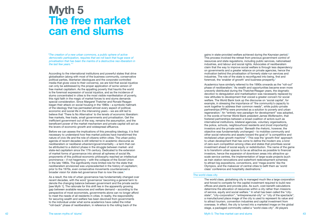# **Myth 5 The free market can end slums**

*"The creation of a new urban commons, a public sphere of active democratic participation, requires that we roll back that huge wave of privatisation that has been the mantra of a destructive neo-liberalism in the last few years." 1*

According to the international institutions and powerful states that drive globalisation (along with most of the business community, conservative political parties, libertarian ideologues and the corporate-controlled media that gives voice to their concerns ), we are told that social injustice can only be addressed by the proper application of some version of free market capitalism. As the appalling poverty that haunts the world is the foremost expression of social injustice, and as the incidence of slums concentrated in cities is the most visible manifestation of poverty, this rigid faith in the magic of market forces to end slums demands special consideration. Since Margaret Thatcher and Ronald Reagan began their attack on social housing in the 1980s – a symbolic hallmark of the ideology that has permeated almost every aspect of political, economic and social life in the intervening years – we are still led to believe that 'There Is No Alternative' to the tenets of economic liberalism: free markets, free trade, small governments and privatisation. Get the inefficient government out of the way, remains the assumption, and the beneficent power of the market mechanism and private capital will act as the levers of economic growth and widespread affluence.

Before we can assess the implications of this prevailing ideology, it is first necessary to understand how free market policies have transformed the nature of civic life and the role of citizens within cities. The urban policy agenda of recent decades is still referred to in academic discourse as neoliberalism or neoliberal urbanism/governmentality – a term that can be attributed to a distinct phase in the struggle between market- and state-led capitalism since the 17th century. Dedicated to the extension of market forms of governance into almost all spheres of social life, proponents of this political-economic philosophy reached an intellectual prominence – if not hegemony – with the collapse of the Soviet Union in the late 1980s. The significantly more limited role for the state that neoliberalism envisioned was unprecedented in the history of capitalism; prior to the 1970s, even conservative movements countenanced a broader vision for state-led governance than is now the case. **2**

As a result, the role of urban governance has fundamentally changed over recent decades, with the word 'governance' becoming a general term to denote the changing balance between government and the private sector [see Myth 1]. The rationale for this shift lies in the apparently growing gap between available resources and welfare demand – according to the perspective of most economists, governments alone can no longer afford to meet the needs of all residents in cities. In reality, the responsibility for securing wealth and welfare has been devolved from governments to the individual under what some academics have called the initial "roll-back" phase of neoliberalism, in reference to the rolling back of the

gains in state-provided welfare achieved during the Keynsian period. **3** This process involved the retreat from previous government control of resources and state regulations, including public services, nationalised industries, and labour and social rights. Advocates of neoliberalism claim that the way to improve social welfare is through less dependency on governments and a greater reliance on private agencies, hence the motivation behind the privatisation of formerly state-run services and industries. The role of the state is reconfigured into being, first and foremost, the 'enabler of growth' and business prosperity. **4**

Academics have similarly referred to the 1990s onwards as the "roll-out" phase of neoliberalism.<sup>5</sup> As wealth and opportunities became even more unevenly distributed during the Thatcher/Reagan years, the dogmatic devotion to deregulation and marketisation was necessarily replaced by new attitudes to development that voiced a greater concern for social welfare. The World Bank took up the discourse on 'social capital', for example, in stressing the importance of "the community's capacity to work together to address their common needs", while public-private partnerships (PPPs ) were promoted as a solution to poverty and urban regeneration.<sup>6</sup> An "entirely new paradigm for development" was adopted, in the words of former World Bank president James Wolfensohn, that fostered partnerships between a broad coalition of actors such as international institutions, bilateral agencies, voluntary organisations, the police, schools, neighbourhood residents and (most importantly) investors and the private sector.<sup>7</sup> Beneath the rhetoric, however, the objective was fundamentally unchanged – to mobilise community and other social networks and assets toward the goal of "a competitive and revitalized urban growth machine". **8** This was the 'growth-first' approach to urban development that has come to define the modern era; a kind of zero-sum competition among cities and states that prioritises social investment ahead of social equity or redistribution. The name of the game is to transform urban spaces to be as attractive as possible to financial investors, hence the expansion of downtown areas into attractive upscale service centres, the implementation of large-scale projects (such as train station renovations and waterfront redevelopment schemes ) to attract big expositions, conventions, and 'mega-events' like the Olympics, and the makeover of central cities to befit them as 'world class' conference and hospitality destinations. **9**

### The world class city

The world class, globalising city is managed much like a large corporation and forced to compete for the capital investment required to build new offices and plants and provide jobs. As such, cost-benefit calculations determine the allocation of resources within a city rather than missions of service, equity and social welfare.**10** In what has been called the "citystate", "city-corporation", "entrepreneurial-city" or "city of the spectacle", a manufactured place *image* of the city is used to represent its value and to attract tourism, convention industries and capital investment from overseas. In effect, the city is turned into a marketed image on the global stage, a packaged commodity called a "world class city". All players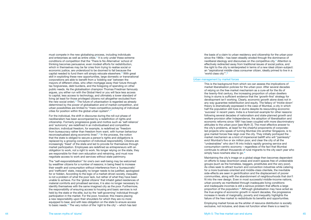must compete in the new globalising process, including individuals and enterprises as well as entire cities.**11** It is only under these extreme conditions of competition that the 'There Is No Alternative' school of thinking becomes persuasive; even modest efforts for redistribution, which in themselves may be far cries from trying to realise social or economic justice, are understood to be doomed to fail because the capital needed to fund them will simply relocate elsewhere.**12** With great skill in exploiting these new opportunities, large domestic or transnational corporations are able to benefit from a 'bidding war' between the mayors of different cities, who often mortgage away their future through tax forgiveness, debt burdens, and the foregoing of spending on other public needs. As the globalisation champion Thomas Friedman famously argues, you either run with the Global Herd or you will face less access to capital, less access to technology, and ultimately a lower standard of living (at least for those privileged citizens not altogether excluded from the new social order) . **<sup>13</sup>** The future of urbanisation is regarded as already determined by the power of globalisation and of market competition, and urban possibilities are limited to "mere competitive jockeying of individual cities for position within the global urban system".**<sup>14</sup>**

For the individual, the shift in discourse during the roll-out phase of neoliberalism has been accompanied by a redefinition of rights and citizenship. Formerly progressive goals and mottos such as 'self-reliance' and 'autonomy' are redefined in an individualised and competitive direction; individual freedom, for example, is redefined as "freedom from bureaucracy rather than freedom from want, with human behaviour reconceptualised along economic lines".**15** In the process, the notion that the state is obliged to secure a person's rights and obligations is replaced by a growing conception of individual responsibility. Citizens are increasingly 'freed' of the state and led to provide for themselves through market participation. Employees are redefined as entrepreneurs with an obligation to work, not a right to work. No longer relying on the state, they are responsible for their own education and retraining, and must now negotiate access to work and services without state patrimony.

The "self-responsibilisation" for one's own well-being may be welcomed by wealthier citizens for a number of reasons; in being freed to increase their wealth and consumption without interference from a 'bureaucratic' and 'inefficient' state, inequality no longer needs to be justified, apologised for or hidden. According to the logic of a market-driven society, inequality is not a problem of what the poor lack, but rather of what they have been unable to achieve. For the 'global citizens' that inhabit gated residences of material comforts and privatised services, it is also no longer necessary to identify themselves with the same imagined city as the poor. Furthermore, the responsibility of ensuring access to housing and basic services is not held by the state or the elite, but by the 'self-governing' individual through participation in the market. For the poor, however, this means placing a new responsibility upon their shoulders for which they are no more equipped to bear, and with less obligation on the state to ensure access to basic needs.**16** The very notion of the 'right to the city' – which has laid

the basis of a claim to urban residency and citizenship for the urban poor since the 1960s – has been steadily eroded through the dominance of neoliberal ideology and discourses on the competitive city.**17** Attention is effectively redirected away from traditional issues of social justice, and the right to the city is reinterpreted in terms of a new ideal citizen-subject: an "aspirational middle-class consumer citizen, ideally primed to live in a 'world class city'".**<sup>18</sup>**

### Urban management by market forces

This is the background from which we can assess the implications of market liberalisation policies for the urban poor. After several decades of relying on the free market mechanism as a cure-all for the ills of the twenty-first century, the increasing proportion of urban dwellers living in slums is sufficient evidence that the 'growth-first' strategy for development isn't working. Clearly, economic growth alone does not in any way guarantee redistribution and equity. The fallacy of 'trickle-down' theory is dramatically expressed in the case of Mumbai, a city in which half the population still lives in slums despite its resounding economic 'success' in recent years. India is a foremost example for other reasons: following several decades of nationalism and state-planned growth and welfare-provision after Independence, the adoption of liberalisation and economic reforms since 1991 has been coupled with more discriminatory attitudes to the urban poor [see Myth 2]. The most effective answer to the city's problems, at least for the cheerful proponents of corporateled projects who speak of turning Mumbai into another Singapore, is to give market forces free reign over the city. They initially portrayed the market mechanism as a kind of impersonal bailliff who will "painlessly" evict Mumbai's five or six million poor, and clear the city of all the "undesirables" who don't fit into India's rapidly growing service and consumption-centric economy – regardless of the fact that Mumbai continues to attract thousands of rural migrants to the city each year who simply have nowhere else to go.**<sup>19</sup>**

Maintaining the city's image on a global stage then becomes dependent on efforts to keep downtown areas and event spaces free of undesirable groups (such as the homeless, beggars, prostitutes and the very poor). As cities seek to attract tourism and convention industries while catering for a more business-oriented and middle-class clientele, the inevitable side-effects are seen in gentrification and the displacement of poorer communities, along with the abandonment of neighbourhoods that don't fit into the new design. Even in most successful middle-income nations, urban poverty as manifested through inadequate living conditions and inadequate incomes is still a serious problem that affects a large proportion of the population.**20** Although globalisation may have acted as the true engine of economic growth in recent decades, the progressive increase in levels of marginality, poverty and inequality highlights the failure of the free market to redistribute its benefits and opportunities.

Employing market forces as the arbiter of resource distribution is socially exclusive, not inclusive, and does not function when there is a need to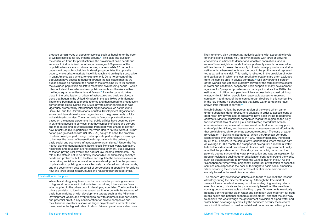likely to cherry pick the most attractive locations with acceptable levels of financial and political risk, ideally in regions with large or growing economies, in cities with denser and wealthier populations, and in more affluent neighbourhoods that are preferably already connected to utilities. None of these criteria apply to low-income populations and slum settlements, where residents are too poor to be profitable and represent too great a financial risk. This reality is reflected in the provision of water and sanitation, in which the least profitable locations are often excluded from the service area in private contracts.**24** Still only around 5 percent of the world's population is currently served by the formal private sector in water and sanitation, despite the keen support of many development agencies for 'pro-poor' private sector participation since the 1990s. An estimated 1.1 billion poor people still lack access to improved drinking water, while 2.4 billion people lack reasonable access to improved sanitation – and most of the unserved urban dwellers in this number live in the low-income neighbourhoods that large water companies have shown little interest in serving.**<sup>25</sup>**

In sub-Saharan Africa, the poorest region of the world which came under substantial donor pressure to privatise in order to access loans or debt relief, few private sector operatives have been willing to negotiate contracts. Most multinational companies regard the region as too risky for investment, two of which (Saur and Biwater) stated that African countries do not represent attractive investments due to the very poor state of public utilities, and because most consumers cannot afford tariffs that are high enough to generate adequate returns.**26** The case of water privatisation in Bolivia is also famous. When the American company Bechtel took over water services in 1999, rates immediately increased by 35 to 50 percent. In the capital city Cochabamba where families earn on average \$100 a month, the prospect of paying \$20 a month in water bills led to widespread protests and clashes until the government finally annulled the private contract. This story has had a big impact on the polemic debate surrounding water privatisation and was an inspiration for popular resistance against other privatisation contracts around the world, such as Suez's attempts to privatise the Ganges river in India.**27** As the 'Cochabamba Water Wars' poignantly illustrated, privatisation of essential services can dispossess the poor of their right to basic social amenities, whilst servicing the economic interests of multinational corporations (usually based in the wealthiest countries ).

The modern-day privatisation debate also tends to overlook the lessons of history during the nineteenth century. Although the free market viewpoint was prevalent in many countries undergoing sanitary reform over this period, private sector provision only benefitted the wealthiest social groups who were able and willing to pay. Governments eventually became convinced that clean water and sanitation was important for both public health and national economic development, and that the only way to achieve this was through the government provision of piped water and water-borne sewerage systems. By the twentieth century these efforts were institutionalised in most industrialised countries and cities, guided

produce certain types of goods or services such as housing for the poor or welfare services for low-income groups.**21** This calls into question the continued trend for privatisation in the provision of basic needs and services. In industrialised countries, an average of 80 percent of the population has access to private housing markets, while 20 percent is dependent on public subsidies. In developing countries the opposite occurs, where private markets have little reach and are highly speculative. In Latin America as a whole, for example, only 20 to 40 percent of the population have access to housing through the real estate market. As public policies do not meet the needs of the remaining 60 to 80 percent, the excluded population are left to meet their own housing needs – which often includes blue-collar workers, public servants and bankers within the illegal squatter settlements and *favelas* . **<sup>22</sup>** A similar dynamic takes place in the privatisation of urban infrastructures and basic services, a trend that began in the United Kingdom in the late 1970s with Margaret Thatcher's free market economic reforms and then spread to almost every corner of the globe. During the 1990s, private sector participation was vigorously promoted by international organisations such as the World Bank, IMF and the United Nations Industrial Development Organisation, as well as bilateral development agencies and the governments of fully industrialised countries. The arguments in favour of privatisation were based on the general agreement that public utilities have been too slow in extending access to services, that they can be inefficient and corrupt, and that developing countries reeling from debt were unable to pay for new infrastructures. In particular, the World Bank's "Cities Without Slums" action plan (in coalition with UN-HABITAT) sought to solve the problem of urban poverty in part through public-private partnerships – a strategy to harness the power of transnational corporations in the delivery of basic social and economic infrastructure to urban slums.**23** Under the free market development paradigm, basic needs like clean water, sanitation, healthcare and education are not considered a birthright, but a privilege of the fee-paying user even in the poorest low-income settlements. The role of the state is not to be directly responsible for addressing society's needs and problems, but to facilitate and regulate the business sector in undertaking social functions and economic development. In the process of privatisation, public goods are effectively transferred into private hands, and the government acts on behalf of corporations in operating (or building new and large-scale ) infrastructures and realising their profit potential.

#### Privatisation for the poor

While this strategy may have a certain rationale for providing services to high-end consumers in industrialised countries, it has serious flaws when applied to the urban poor in developing countries. The incentive for private provision to low-income areas has little to do with the securing of basic human rights or with development targets such as the Millennium Development Goals, and everything to do with commercial opportunities and potential profit. A key consideration for private companies and their financial investors is scale, as larger projects with a sizeable client base provide the highest rates of return. Private operators are also more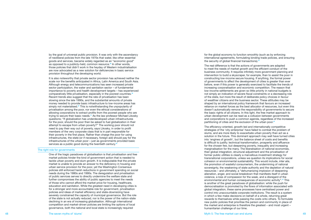for the global economy to function smoothly (such as by enforcing international agreements, formulating binding trade policies, and ensuring the security of global financial transactions).<sup>33</sup>

The real difference is that the actions of governments are adapted to meet the needs of market growth and the efficient conduct of the business community. It requires infinitely more government planning and intervention to build a skyscraper, for example, than to assist the poor in constructing low-income secure housing. If anything, the formal power of governments to affect the development of cities is greater than ever before, even if this power is generally exercised to facilitate the trends of increasing corporatisation and economic competition. The reason that low-income settlements are given so little priority in national budgets is not simply an indication of severe fiscal constraints or a decreasing role of the state, but more the result of deliberate policy choices in favour of wealthier citizens and the business sector. These attitudes may be shaped by an international policy framework that favours an increased reliance on market forces as the best allocator of resources, but even this doesn't automatically remove the responsibility of governments to secure the basic rights of all citizens. In this light, the free market approach to urban development can be read as a collusion between governments and corporations to push a common agenda, regardless of the increased partitioning of cities and the exclusion of the urban poor.**<sup>34</sup>**

The efficiency-oriented, growth-led and internationally competitive strategies of the 'city-enterprise' have failed to combat the problem of slums, and are more likely to exacerbate urban poverty than act as a solution in the future. This dominant approach may well have turned cities into 'engines of growth', but the balance sheet of costs and benefits is difficult to justify; technical transformation, prosperity and affluence for the chosen few, but deepening poverty, inequality and increasing marginalisation for the many. The liberalisation of national economies, their global integration, structural adjustment and the privatisation of former public utilities is clearly a marvellous investment strategy for transnational corporations, unless we question its implications for social cohesion or environmental sustainability. This would include, *inter alia*, the promotion of wasteful consumerism, the undermining of national sovereignty, the weakening of state authority and the depletion of natural resources – and ultimately, a "dehumanizing implosion of deepening alienation, anger, and social breakdown that manifests itself in urban violence, a loss of compassion for the weak, and a disregard of the environmental and human consequences of economic activity".**35** This is another of the great paradoxes of globalisation: while the push for democratisation is promoted by the flows of information associated with global integration, these same processes have centralised power and control into unaccountable corporate institutions. The result is a system in which a few make decisions on behalf of a whole, returning great rewards to themselves while passing the costs onto others. To formulate new public policies that prioritise the person and community in place of the market and enterprise is therefore the greatest – and most urgent – humanitarian challenge of our time.

by the goal of universal public provision. It was only with the ascendancy of neoliberal policies from the late 1970s that water, like other essential goods and services, became widely regarded as an "economic good" as opposed to a publicly-held, common resource.**28** In other words, those policies that didn't work in the heyday of Western industrialisation are now advocated as a new solution for deficiencies in basic service provision throughout the developing world.

It is also noteworthy that private sector provision has achieved neither the scale nor the benefits anticipated in Africa, Latin America and South Asia. Although energy and telecommunications has seen increased private sector participation, the water and sanitation sector – of fundamental importance to poverty and health development targets – has experienced comparatively little privatisation, especially in the poorest countries.**<sup>29</sup>** Recent trends also suggest that the rate of privatisation has been slowing since the late 1990s, and the substantial amounts of private money needed to provide basic infrastructure to low-income areas has simply not materialised.**30** This is notwithstanding the unpopularity of privatisation among the poor, nor even the ethical considerations of allowing corporations to extract profits from the poorest people who are trying to secure their basic needs.**31** As the law professor Michael Likosky questions; "If globalization has underdeveloped urban infrastructures for the poor, should the poor then be asked to fuel globalization in their attempt to escape from urban poverty?" The working poor should not need to pay their way out of poverty, says Likosky, in order to profit members of the very corporate class that is in part responsible for their poverty in the first place. Rather than charge the poor for using infrastructures, the state (or if necessary, foreign aid ) should pay for the infrastructures of the urban poor – just as governments provided basic services as a public good during the twentieth century.**<sup>32</sup>**

### The right role for governments

One of the tragic paradoxes of globalisation is that privatisation and free market policies hinder the kind of government action that is needed to tackle urban poverty and slum growth. It is indisputable that the private market is unable to provide an answer to the deficiency in housing and urban service provision for the poor, yet the Washington Consensus policies still enforced harsh reductions in government spending on social needs during the 1980s and 1990s. The deregulation and privatisation of public services serves to directly undermine the welfare state and further compromises the ability of public agencies to meet the needs of those who cannot afford the market price for housing, healthcare, education and sanitation. While the greatest need in developing cities is for a stronger and more accountable role for government, privatisation policies and ideas of market efficiency and state-downsizing have severely constrained the capacity of municipal governance. But the role of the state is not actually reduced, nor is the power of the nation-state declining in an era of increasing globalisation. Although international competition and market-driven policies are limiting the options of local governance, both the national and local state is increasingly required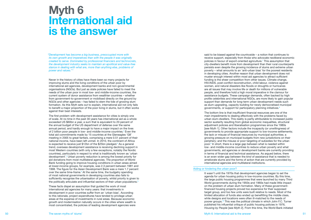# **Myth 6 International aid is the answer**

said to be biased against the countryside – a notion that continues to receive support, especially from those who advocate neoliberal economic policies in favour of export-oriented agriculture. **7** This assumption that city-dwellers benefit more from development than their rural counterparts persists even despite the growing incidence of slums and extreme urban poverty – what amounts to an 'anti-urban bias' for the poorest residents in developing cities. Another reason that urban development does not muster enough interest within most aid agencies to attract sufficient funding is the sheer competition from other issues. Climate change, HIV/AIDS, post-conflict reconstruction, child labour, violence against women, and natural disasters like floods or droughts or hurricanes are all issues that may involve life or death for millions of vulnerable people, and therefore hold a high moral imperative in the clamour for assistance budgets. These campaign demands, often backed by high profile celebrities and international NGOs, are more likely to gain popular support than demands for long-term urban development needs such as slum upgrading, capacity building for newly democratised municipal governments, or support for participatory planning initiatives. **8**

The bottom line is that insufficient financial resources are one of the main impediments to dealing effectively with the problems faced by urban slum-dwellers. This reality is partly attributable to increased public sector austerity resulting from global economic inequalities, structural adjustment policies and liberalisation programmes since the 1980s [see Myth 1]. Other factors include the incapacity (or unwillingness ) of governments to provide appropriate support to low-income settlements; the lack or misuse of financial resources by municipal authorities; a growing pressure on municipal budgets from new jurisdictions on their periphery; and the misuse or poor targeting of subsidies for the urban poor.<sup>9</sup> In short, there is a large gap between what is needed within low- and middle-income countries to reduce urban poverty and what governments, aid agencies or development banks are currently providing in terms of financial and technical assistance. As argued below, there is an even wider gap between the *kind* of assistance that is needed to ameliorate slums and the forms of action that are currently provided by international agencies and multilateral institutions.

### Aiding or hindering the urban poor?

It wasn't until the 1970s that development agencies began to set the agenda for urban housing policy in low-income countries. By this time, the large public housing programmes that were launched by many Third World governments during the 1950s and 1960s had made little impact on the problem of urban slum formation. Many of these governmentfinanced housing projects proved too expensive for their supposed target group, and too few units were built relative to needs. Most of the limited allocation of funds also ended up benefitting the middle class, while designs and locations were often ill-matched to the needs of poorer groups.**10** This was the political climate in which John F.C. Turner published his influential critique of public housing policies in 1976, *Housing by People* [see Myth 2]. From this time, the World Bank initiated

*"Development has become a big business, preoccupied more with its own growth and imperatives than with the people it was originally created to serve. Dominated by professional financiers and technocrats, the development industry seeks to maintain an apolitical and value-free stance in dealing with what are, more than anything else, problems of power and values." 1*

Never in the history of cities have there been so many projects for improving slums and the living conditions of the urban poor by international aid agencies, development banks and non-governmental organisations (NGOs ). But just as state policies have failed to meet the needs of the urban poor in most low- and middle-income countries, the current system of donor assistance from wealthier countries – whether from government-to-government or mobilised directly on the ground by NGOs and other agencies – has failed to stem the tide of growing slum formation. As this Myth sets out to explain, international aid not only fails to benefit a major proportion of the poor living in slums, but it often works against their best interests.

The first problem with development assistance for cities is simply one of scale. At no time in the past 30 years has international aid as a whole exceeded US \$60bn a year, a sum that is equivalent to 20 percent of the annual budget of the US department of defense over the same annual period, and hardly enough to have a major impact on the lives of 2 billion poor people in low- and middle-income countries. **2** Even the total aid commitments made by 15 countries at the Gleneagles 'G8' meeting in 2005 to great fanfare, comprising a mere 0.51 percent of their national income, have been left unmet. In 2010, the continent of Africa is expected to receive just \$12bn of the \$25bn pledged.<sup>3</sup> As a general trend, overseas development assistance is receiving declining support in most Western countries (with only a few exceptions, notably the Nordic countries ), particularly in respect to what is traditionally known as 'urban development'.<sup>4</sup> Urban poverty reduction is among the lowest priority for aid donations from most multilateral agencies. The proportion of World Bank funding going to improve housing conditions in urban areas aimed at lower-income groups, for example, was 2.3 percent between 1981 and 1998. The figure for the Asian Development Bank was a mere 1.7 percent over the same time-frame.<sup>5</sup> At the same time, the budgetry spending of most national governments in developing countries also fails to sufficiently recognise the urbanisation of poverty, whilst priority is given to the politically articulate and influential sectors of their urban populations. **6**

These facts dispel an assumption that guided the work of most international aid agencies for many years: that investments in development in poor countries suffer from an 'urban bias'. According to this rationale, project expenditures have tended to privilege urban areas at the expense of investments in rural areas. Because economic growth and modernisation naturally occurs in the cities where wealth is most concentrated, the policies of leading development agencies were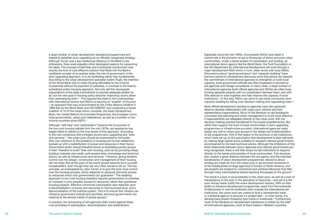Especially since the mid-1990s, innumerable NGOs have taken a central role in the provision of aid to thousands of slums and poor urban communities. Under a tiered system of coordination and funding, an international donor agency like the World Bank, the Ford Foundation or the UK Department for International Development will work through a major development NGO which, in turn, often works with local NGOs. Discussions about "good governance" and "capacity-building" have become central to development discourse since this period, but despite the commitment of international agencies to strengthen or build local capacity, local government officials are often bypassed or ignored by aid agencies and foreign consultants. In many cities, a large number of international agencies (both official agencies and NGOs ) are often busy funding separate projects with no coordination between them, and with little attempt to work together and help improve the capacity of local institutions.**17** In this way, NGOs can serve to pre-empt community level capacity-building by taking over decision-making and negotiating roles.**<sup>18</sup>**

Most official development assistance agencies have also generally failed to develop relationships with urban poor citizens and their representative organisations. Much of the literature on aid assistance concludes that planning and urban management is much more effective if responsibilities are delegated directly to the urban poor, with the decision-making process transferred to the lowest possible levels. But rather than support the work of local communities in slum-upgrading programmes or infrastructure provision, international agencies rarely assign any role to urban poor groups in the design and implementation of aid programmes. Part of the reason is the structure of aid institutions, which were set up on the assumption that development is best delivered by making large capital sums available to recipient national governments, accompanied by the best technical advice. Although the limitations of this fixed relationship between donor agencies and national governments are long recognised, there is still little scope for aid institutions to respond directly to the needs and priorities of local communities. This structure also creates a great distance between the aid agency and the intended beneficiaries of urban development programmes; decisions about funding are made far from the urban poor in government ministries or at the headquarters of large agencies in Europe or North America, and aid projects are shaped by commercial and political influences that filter through many intermediaries before reaching the people on the ground.**<sup>19</sup>**

The result is a lack of accountability to the urban poor, as well as a lack of transparency to the poor in the allocation of resources – and yet it is the poor whose needs justify the entire development industry. With so little ability to influence development programmes, apart from the extremely limited power to vote for politicians who oversee the international aid institutions, the urban poor are unable to hold a development bank or a bilateral agency to account if a project fails – or even worse, if a development project threatens their home or livelihoods.**20** Furthermore, most of the literature on development assistance is written by the staff of international agencies, most of them based in Western countries,

a large number of urban development assistance programmes and helped to establish slum upgrading as an officially recognised strategy. Although Turner was a key intellectual influence in the Bank's new philosophy, there were arguably other ideological reasons for supporting his ideas. The concept of self-help and incremental construction was exactly the kind of cost-effective solution that fitted into the Bank's neoliberal concept of an austere state; the role of government, in the slum upgrading approach, is to be facilitating rather than fundamental. According to the urban development specialist Cedric Pugh, the intention of the World Bank was to make housing affordable to low-income households without the payment of subsidies, in contrast to the heavilysubsidised public-housing approach. Not only did this downgrade expectations of the state commitment to provide adequate shelter for all, but the new goal in housing policy became 'improving' slums rather than redeveloping them.**11** This required the state to form partnerships with international donors and NGOs to become an 'enabler' of the poor – an approach that was consummated by the Cities Alliance initiative in 1999 (led by the World Bank and UN-HABITAT, and comprising a broad coalition of 10 of the major donor countries, the Asian Development Bank, the United Nations Environment Programme, the European Union, local governments, urban poor federations, as well as a number of lowincome countries since 2007). **12**

Although "self-help" and "participation" became the buzzwords of the low-cost housing debate from the mid-1970s, aid assistance has largely failed to adhere to the true tenets of this approach. According to the new consensus that emerged around slum upgrading and 'sites and services',**13** the urban poor should be empowered to formulate their own solutions to the problems of housing and human settlement, backed up with a redistribution of power and resources in their favour. Government action should therefore focus on facilitating poorer groups in their "freedom to build" their own housing, such as by providing cheap building materials and credit, well-located sites, knowledge and technical advice, as well as infrastructure and services.**14** However, giving dwellers control over the design, construction and management of their housing did not imply that all the poor of the world should become do-it-yourself housebuilders, even though they are very often forced to do so. The key principle, as emphasised by John Turner, is to give the poor *local control* over the housing process, which depends on personal and local access to resources which only governments can guarantee.**15** The enabling approach to low-cost housing therefore requires governments to prioritise an increase in poor people's access to resources, rather than grandiose housing projects. Effective community participation also depends upon a decentralisation of power and resources to city/municipal level, and a democratisation of the political system. This is to ensure that citizens can influence government policies and priorities, and local governments can respond to the diverse needs of poorer groups.**<sup>16</sup>**

In practice, the functioning of aid agencies often works against these core principles of participation, decentralisation and redistribution.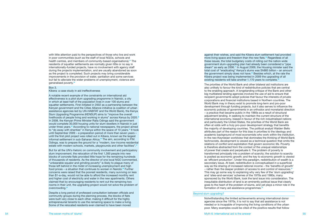with little attention paid to the perspectives of those who live and work in poor communities (such as the staff of local NGOs, schools and health centres, and members of community-based organisations).<sup>21</sup> The residents of squatter settlements are normally given little or no say in internationally-funded projects, have no involvement with agency staff during the projects implementation, and are usually abandoned as soon as the project is completed. Such projects may bring considerable improvements in the provision of water, sanitation and some services but fail to alleviate the wider problems of unemployment, violence and generalised poverty.**<sup>22</sup>**

#### Box 3.

Kibera: a case study in aid ineffectiveness

A notable recent example of the constraints on international aid effectiveness is a pilot slum upgrading programme in Nairobi, a city in which at least half of the population lives in over 100 slums and squatter settlements. First initiated in 2002 as a partnership between the Kenyan government and the Cities Alliance initiative (a coalition of urban assistance agencies led by UN-HABITAT and the World Bank), the Kenya Slum Upgrading Programme (KENSUP ) aims to "improve the overall livelihoods of people living and working in slums" across Kenya by 2020.**<sup>23</sup>** In 2008, the Kenyan Prime Minister Raila Odinga said the government would complete 30,000 housing units for slum-dwellers in Nairobi in just under three years.**24** According to national newspapers, the project aimed to "do away with shanties" in Kenya within the space of 10 years.**25** It took until September 2009 – a preparation period of more than seven years – until the first pilot project was rolled out in Kibera, known as the largest informal settlement in sub-Saharan Africa.**26** The aim, according to P.M. Odinga, was to prepare the ground for a "modern, low-income residential estate with modern schools, markets, playgrounds and other facilities".**<sup>27</sup>**

But for all the UN's rhetoric on community involvement and participatory slum improvement, the relocation of the first 1,300 people into new blocks of concrete flats provided little hope for the remaining hundreds of thousands of residents. As the director of one local NGO commented, "unbearable squalor and grinding poverty" is likely to plague many of those left behind in the midst of increasing unemployment and high food prices – a situation that continues to worsen in Nairobi.**28** Further concerns were raised that the poorest residents, many surviving on less than \$1-a-day, would not be able to afford the increased monthly rent and higher cost of electricity and water in the new apartments. Others claimed that by encouraging residents to rent out the remaining two rooms in their unit, the upgrading project would not solve the problem of overcrowding.**<sup>29</sup>**

Despite a long period of professed consultation between officials and community groups during the planning process, the blocks of flats were built very close to each other, making it difficult for the highly entrepreneurial tenants to use the remaining space to make a living. Some of the relocated residents even claimed to have been moved

against their wishes, and said the Kibera slum settlement had provided more living space and freedom than the new flats.**30** Regardless of all these issues, the total budgetary costs of rolling out the nation-wide government slum-upgrading plan had already been considered a "pipe dream" as early as 2006.**31** In August 2009, the Housing minister said the total cost of "eradicating" Kenya's slums was Sh885 billion – an amount the government simply does not have.**32** Besides which, at the rate the Kibera project was being implemented in 2009 the upgrading of all existing residents will take another 1,170 years to complete.**<sup>33</sup>**

The priorities of the World Bank and other bilateral aid institutions are also unlikely to favour the kind of redistributive policies that are central to the enabling approach. A longstanding critique of the Bank and other big multilateral lending agencies involves the use of aid to ensure that recipient governments adopt policies that favour the interests of private corporations and financial institutions based in Northern countries. The World Bank may in theory exist to promote long-term and pro-poor development through funding projects, but it also serves to influence the economic policies of governments in an orthodox and monetarist direction – a practice that became public in the 1980s as a result of structural adjustment lending. In seeking to maintain the current structure of the international economy, biased in favour of the rich industrialised nations and particularly the United States, the priorities of the World Bank are often at odds with a truly pro-poor development strategy that benefits the majority of developing countries. The political analyst Walden Bello attributes part of the reason for this bias in priorities to the ideology and academic background of most economists who work within the institution. In the neo-Keynesian worldview that dominates the thinking of World Bank technocrats, development is viewed as a technical question that omits the relations of conflict and exploitation that govern economic life. Poverty is therefore abstracted from the context of the unequal relationships of power that create and perpetuate it. The problem of poverty is transformed principally into a problem of scarcity; the solution to scarcity is posited as economic growth; and the key to economic growth is viewed as 'efficient production'. Under this paradigm, redistribution of wealth is a secondary issue. At best, redistribution is conceptualised in a superficial way as the sharing of increased national income – the 'benefits of growth' – rather than the deeper problem of access to and control of resources.**<sup>34</sup>** This may go some way to explaining why very few of the 'slum upgrading' and 'sites-and-services' schemes of the 1970s and 1980s, many sponsored by the World Bank, took the land issue into consideration. The inequitable distribution of land is an eminently political issue that clearly goes to the heart of the problem of slums, and yet plays a minor role in the formation of many aid assistance programmes.**<sup>35</sup>**

### Beyond slum upgrading?

Notwithstanding the limited achievements among international donor agencies since the 1970s, it is not to say that aid assistance is not needed or is incapable of improving the living conditions of the urban poor. Many examples could be cited of the positive results that follow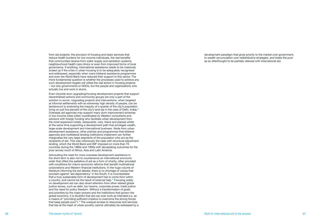from aid projects: the provision of housing and basic services that reduce health burdens for low-income individuals, the real benefits that communities receive from water supply and sanitation systems, neighbourhood health care clinics or even from improved forms of local governance. If anything, international assistance needs to be massively scaled up if the crisis in urban housing is to be adequately recognised and addressed, especially when many bilateral assistance programmes and even the World Bank have reduced their support to this sector. The more fundamental question is whether the processes used to achieve any such development targets will utilise the real actors in housing projects – not only governments or NGOs, but the people and organisations who actually live and work in slums.

Even citywide slum upgrading/housing development projects that support decentralised actions and community groups are only a part of the solution to slums. Upgrading projects and interventions, when targeted at informal settlements with an extremely high density of people, can be tantamount to endorsing the inequity of a quarter of the city's population living on just five percent of the city's land (as in the case of Delhi, India).<sup>36</sup> Overseas aid agencies may support many slum improvement schemes in low-income cities (often coordinated by Western consultants and advisors with foreign funding who facilitate urban development from the most expensive hotels, restaurants, cars, trains and planes ) whilst at the same time supporting a development path that privileges wealth, large-scale development and international business. Aside from urban development assistance, other policies and programmes that bilateral agencies and multilateral lending institutions implement can further marginalise the very large segments of the population who act as the recipients of aid. This was notoriously the case with structural adjustment lending, which the World Bank and IMF imposed on more than 70 countries during the 1980s and 1990s with devastating outcomes for the poor across much of Africa, Asia and Latin America.

Advocating the need for more overseas development assistance in the short-term is also not to countenance an international economic order that offers the palliative of aid as a form of charity, often provided with conditions for macro-economic reforms that benefit multinational corporations and Western financial institutions. In the huge volume of literature informing the aid debate, there is no shortage of voices that proclaim against 'aid dependency' in the South; it is incontestable that a truly sustainable form of development has to come from within a country, and cannot be the result of external help.**37** Focusing solely on development aid can also divert attention from other related global justice issues, such as debt, tax havens, corporate power, trade justice and the need for policy freedom. Without a transformation of goals and priorities by the major powers and the institutions that govern the global economy, it is doubtful that aid can ever work as intended (i.e. as a means of "providing sufficient impetus to overcome the strong forces that keep people poor" ) . **<sup>38</sup>** The unequal access to resources and services that lies at the heart of urban poverty cannot ultimately be redressed by a

development paradigm that gives priority to the market over government, to wealth accumulation over redistributive strategies, and treats the poor as an afterthought to be partially relieved with international aid.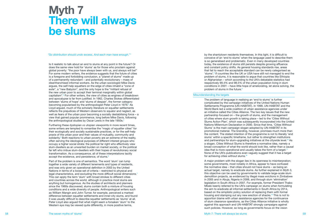# **Myth 7 There will always be slums**

*"So distribution should undo excess, And each man have enough." 1*

Is it realistic to talk about an end to slums at any point in the future? Or does the same view hold for 'slums' as for those who proclaim against global poverty: "the poor have always been with us, and always will be!" For some modern writers, the evidence suggests that the future of cities is a foregone and forbidding conclusion, a "planet of slums" made up of a permanently redundant – and potentially revolutionary – mass of disenfranchised informal workers. As the urban sociologist Mike Davis argues, the self-help squatters on the edge of cities inhabit a "zone of exile", a "new Babylon", and the only hope is the "militant refusal of the new urban poor to accept their terminal marginality within global capitalism". **2** For other writers, the view of cities as engines of breakdown and apocalypse is far from justified. In 1962, Charles Stokes differentiated between 'slums of hope' and 'slums of despair', the former category becoming popularised by the anthropologist Peter Lloyd in 1979.<sup>3</sup> As Lloyd argued, much of the scholarly literature on squatter settlements reflects the prejudices of Western observers to squalor and neglect, as well as fears of the urban poor becoming a socially destabilising force – a view that gained popular prominence, long before Mike Davis, following the anthropological studies by Oscar Lewis in the late 1950s. **4**

Part of the problem is one of semantics. The word 'slum' can lump together a wide variety of different tenements and types of residents, and was only given an operational definition in 2003 by the United Nations in terms of a loose set of criteria – restricted to physical and legal characteristics, and excluding the more difficult social dimensions.<sup>7</sup> This can apply the term 'slum' with broad strokes to different cities and countries across the world, although in practice most slums are anything but homogenous. As the studies of architects and planners since the 1960s discovered, slums contain both a mixture of housing conditions and a wide diversity of people. Anthropological writers such as William Mangin and John Turner, for example, perceived a marked difference between squatter settlements and inner-city slums, and found it was usually difficult to describe squatter settlements as 'slums' at all. Peter Lloyd also argued that what might seem a forsaken 'slum' to the Western eye may be viewed quite differently, in more positive terms,

Furthering these dystopian *vs* utopian viewpoints in more recent times, some writers are tempted to romantise the "magic of squatter cities" for their ecologically and socially sustainable practices, or for the self-help praxis of the urban poor and their values of mutuality, community and solidarity.<sup>5</sup> Both reactions to urban poverty are an extreme of the reality, often serving the ideological purposes of different interest groups who occupy a higher social strata: the political far right who effectively view slum-dwellers as an unwanted burden on market society, or the political far left who imbue slum-dwellers with their hopes of revolutionary social transformation. As a consequence, all of these interpretations tacitly accept the existence, and persistence, of slums. **6**

by the shantytown residents themselves. In this light, it is difficult to conceive of an 'end to slums' when the language used to describe them is so generalised and problematic. Even in many developed countries today, the existence of slums still persists despite growing affluence and constant policy shifts. As general housing standards rise, areas that fail to reach the acceptable standard can be newly categorised as 'slums'. **8** If countries like the UK or USA have still not managed to end the problem of slums, it is reasonable to argue that countries like Ethiopia or Afghanistan – which according to the UN's debatable statistics had respectively 99.4% and 98.5% of the urban population living in slum conditions in 2001 – have little hope of ameliorating, let alone solving, the problem of slums in the future. **9**

#### Misunderstanding the targets

The problem of language in realising an 'end to slums' is further complicated by the campaign initiatives of the United Nations Human Settlements Programme (UN-HABITAT). In 1999, UN-HABITAT and the World Bank led a wide coalition of urban assistance agencies under an initiative called the Cities Alliance. The two key issues that the new partnership focused on – the growth of slums, and the management of cities where slum growth is taking place – led to the 'Cities Without Slums Action Plan', which was subsequently incorporated into the United Nations Millennium Declaration in 2000. Since that time, 'Cities Without Slums' is the main campaign slogan adopted by UN-HABITAT in its promotional material. The branding, however, promises much more than the content. The stated intention of the programme is not to literally 'end slums' within a specific timeframe, but rather to strengthen institutions and partnerships for slum-upgrading initiatives at the citywide level.**10** As a slogan, Cities Without Slums is therefore a normative idea, namely a broad conception of what the world should look like, rather than a causal idea that is more operational and usually takes the form of a target.**<sup>11</sup>** None of the UN's publications even vaguely suggest that it has a target for achieving cities without slums.**<sup>12</sup>**

A major problem with the slogan lies in its openness to misinterpration; some governments, most notably in Africa, appear to have confused the normative idea – that cities should not have slums – as being an actual target, namely to eradicate slums. As further explained in Myth 3, this objective can be used by governments to validate large-scale slum demolition projects, as evidenced by illegal mass evictions in Zimbabwe in 2005 and in Abuja, Nigeria in 2006, and through slum 'elimination' legislation in South Africa in 2007. For example, former President Thabo Mbeki keenly referred to the UN's campaign on slums when formulating the aim to eradicate all informal settlements in South Africa by 2014, based on the simplistic policy solution of replacing them with formal housing and stamping out any new erection of shacks.**13** This is not to apportion blame with urban assistance agencies for the continuance of slum clearance operations, as the Cities Alliance initiative is wholly against this approach and UN-HABITAT strongly campaigns against such policies. However, so long as governments focus on the vision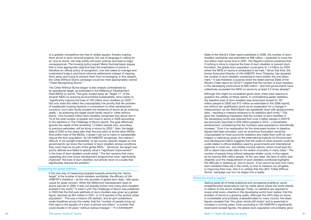of a globally competitive city free of visible squalor, thereby making them prone to slum removal projects, the use of language in calling for an 'end to slums' can help justify anti-poor policies and lead to tragic consequences. The housing policy expert Marie Huchzermeyer argues that a more appropriate objective than the eradication of slums is therefore an official policy of recognition, one that seeks to manage and understand today's and future informal settlements instead of clearing them away and trying to prevent them from re-emerging. In this respect, the Cities Without Slums campaign would be more appropriately named "Cities Recognising Slums".**<sup>14</sup>**

The Cities Without Slums slogan is also sharply contradicted by its operational target, as embodied in the Millennium Development Goal (MDG ) on slums. This goal, tucked away as "Target 11" of the seventh MDG on ensuring environmental sustainability, aims merely to "significantly improve the lives of 100 million slum-dwellers by 2020".**<sup>15</sup>** Not only does this reflect the unacceptably low priority that the problem of inadequate housing receives in comparison to other development concerns, but it also tacitly accepts the existence of slums as an enduring reality – as achieving the target would hardly result in 'cities without slums'. One hundred million slum-dwellers comprised only about one in 10 of the total number of people who lived in slums in 2000 (according to the statistics in *The Challenge of Slums* report ). The goal effectively ignores the needs of the remaining 1.3 billion people who, according to previous estimates, will be living in slums by 2020.**16** Also, the target date of 2020 is five years later than the end point of all the other MDGs. And unlike most of the MDGs, it doesn't set out to halve or substantially reduce the slum population. As UN-HABITAT recognises, this makes it difficult, if not outright impossible, to set country-specific targets so that governments can know the numbers of slum-dwellers whose conditions they must improve as part of the global MDG.**17** Moreover, the target was poorly defined and failed to specify what a "significant improvement" in the lives of slum-dwellers would entail.**18** The fact remains that many upgrading and new house development programmes have "significantly improved" the lives of slum-dwellers, but almost never on a scale that significantly reduces the problem.**<sup>19</sup>**

#### Questioning the global statistics

If the only way of measuring progress towards achieving the "slums target" is the number of slum-dwellers worldwide, the efficacy of UN-HABITAT's statistics – as the only provider of global slum data – also gives cause for great concern. When the Millennium Development Goal on slums was set in 2000, it was not actually known how many slum-dwellers existed in the world.**20** It wasn't until *The Challenge of Slums* was published in 2003 that the first-ever estimate of slum-dwellers was given as a global figure, reported as 924 million in 2001, or 31.6 percent of the world's urban population.**21** This was a historic UN statistic, and its grim predictions made headlines across the media: that the "number of people living out their days in the squalor of a slum is almost one billion", a number that could double in 30 years "without radical changes".**22** In a subsequent

*State of the World's Cities* report published in 2006, the number of slumdwellers worldwide was estimated at 998 million – expected to cross the one billion mark some time in 2007. The Report's authors predicted that if nothing is done to improve the lives of slum-dwellers or prevent slum formation, the global slum population could grow to 1.4 billion by 2020 (when the MDG on slums is scheduled to be met ) . **<sup>23</sup>** Since that time, the former Executive Director of UN-HABITAT, Anna Tibaijuka, has declared the number of slum-dwellers worldwide to have broken the one billion mark.**24** It was therefore a surprise when the latest biennial *State of the World's Cities* report for 2010/11 stated that the number of slum-dwellers in the developing world stood at 828 million – and that governments have collectively exceeded the MDG on slums by at least 2.2 times already!**<sup>25</sup>**

Although this might be considered good news, there were reasons to question the validity of these claims. In contradicting earlier statistics, the baseline total of slum-dwellers was downward revised to 767 million people in 2000 (not 912 million as estimated in the 2006 report ), but *without any qualification* (such as an explanation for a change in measurement, as the World Bank has repeatedly done with global poverty data – resulting in massive revisions to its statistics each time ) . **<sup>26</sup>** This gave the misleading impression that the number of slum-dwellers in the developing world was reduced from over a billion people in 2007/8 (as previously reported ) to 828 million people in 2010 – a remarkable achievement, considering that the numbers were expected to dramatically increase.**27** Even if an explanation for the downward revision in baseline figures had been provided, such an enormous fluctuation would be unacceptable for most economic statistics and make them unfit for use.**<sup>28</sup>** Indeed, a meticulous study by the International Institute for Environment and Development (IIED ) suggests that the scale of urban poverty could be *under-stated* in official statistics used by governments and international agencies in most low- and middle-income nations, which could lead the UN to report inaccurate data on the extent of poverty in many cities.**29** The number of people living without adequate shelter could, in this regard, be far beyond 828 million people. At the very least, the lack of clarity and reliability over the measurement of slum-dwellers worldwide highlights the difficulty in realising an 'end to slums'. If we cannot be sure how many slum residents there are in the world, or how to measure our progress in improving their lives, then it is unlikely that the UN's "Cities Without Slums" campaign can turn its slogan into a reality.

#### Where the world is headed

Setting aside all of these analytical and conceptual problems, some straightforward observations can be made about where the world stands in relation to the slums challenge. Firstly, no statistics are required to reveal what every urbanite in the developing world must realise: that the problem of slums is a growing reality. Although the UN's data on slums is contestable and probably underestimated on many counts, the latest figures revealed that "the urban divide still exists" and is expected to increase in coming years. Even according to UN-HABITAT's significantly downward-revised figures, the global slum population will probably grow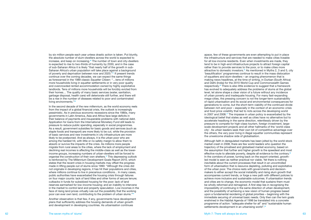by six million people each year unless drastic action is taken. Put bluntly, the absolute number of slum-dwellers across the world is expected to increase, and keep on increasing.**30** The number of town and city-dwellers is expected to rise to two-thirds of humanity by 2030, and in the case of sub-Saharan Africa it is likely "that nearly half of the growth in sub-Saharan Africa's urban population will take place against a background of poverty and deprivation between now and 2020."**31** If present trends continue over the coming decades, we can expect the same things as forewarned in the 1989 classic *Squatter Citizen*: "…tens of millions more households living in squatter settlements or in very poor quality and overcrowded rented accommodation owned by highly exploitative landlords. Tens of millions more households will be forcibly evicted from their homes… The quality of many basic services (water, sanitation, garbage disposal, health care ) will deteriorate still further, and there will be a rise in the number of diseases related to poor and contaminated living environments."**<sup>32</sup>**

In the second decade of the new millennium, as the world economy reels from the impact of a global financial crisis, the outlook is increasingly pessimistic. As in previous economic recessions since the 1980s, many governments in Latin America, Asia and Africa face large deficits in their balance of payments and insuperable problems with national debt. Application for loans from the International Monetary Fund still leads to pressure to reduce public spending, especially in social programmes. As a result, government subsidies for basic goods and services (such as staple foods and transport ) are more likely to be cut, while the provision of basic services and new investments in city infrastructure are more likely to be postponed. And as always, it is the urban poor who are among the hardest hit, with little or no safety margin to allow them to absorb or survive the impacts of the crisis. As millions more people migrate from rural areas to the cities, where the lack of employment and declining real incomes is affecting the middle-class as well as the lowerincome groups, increasing numbers of urban-dwellers will be forced to organise the construction of their own shelters.**33** This depressing outlook is reinforced by The Millennium Development Goals Report 2010, which states that the recent crisis in housing markets may offset the progress made in lifting people out of slums since 1990: "Although the crisis did not originate in developing regions, it has hit their populations and cities, where millions continue to live in precarious conditions... In many cases, public authorities have exacerbated the housing crisis through failures on four major counts: lack of land titles and other forms of secure tenure; cutbacks in funds for subsidized housing for the poor; lack of land reserves earmarked for low-income housing; and an inability to intervene in the market to control land and property speculation. Low incomes in the face of rising land prices virtually rule out the possibility that the working poor can ever own land, contributing to the problem of urban slums."**<sup>34</sup>**

Another observation is that few, if any, governments have development plans that sufficiently address the housing demands of urban growth and development in developing countries. As urbanisation continues

apace, few of these governments are even attempting to put in place the infrastructure and services that are needed to make cities liveable for all low-income residents. Even when investments are made, they tend to be in high-end infrastructure projects to attract foreign capital rather than to provide services to the poor, or to make cities more attractive to domestic investors.**35** As mentioned in Myths 2, 3 and 5, city 'beautification' programmes continue to result in the mass dislocation of squatters and slum-dwellers – an ongoing phenomenon that is making news headlines, at the time of writing, in Durban (South Africa ) and Delhi (India ) for the 2010 World Cup and Commonwealth Games respectively.**36** There is also little evidence to suggest that a framework has evolved to adequately address the problems of slums at the global level, let alone shape a clear vision of a future without any incidence of urban poverty and inadequate housing. For many fast-expanding mega-cities, the pressing concern is not the longer-term sustainability of rapid urbanisation and its social and environmental consequences for generations to come, but the short-term viability of the continued divide between rich and poor – especially in the context of an economic crisis and food price volatility that led to riots across the developing world in 2007 and 2008.**37** The impasse in urban policy is exacerbated by the ideological belief that states as well as cities have no alternative but to accelerate headlong in the same direction, relentlessly driven by the pressure to compete for high-class tourism, foreign investment, largescale development projects and all other hallmarks of the 'world class city'. As urban leaders seek their own bit of competitive advantage over the others, the very poor living in illegal squatter communities represent the unwelcome shadow side of globalisation.

Although faith in deregulated markets has been jolted by the world stock market crash in 2008, there are few world leaders who question the trajectory of the privatised and globalised market economy, based on the assumption that further and higher growth is the speediest and most effective route to alleviate poverty, despite all evidence to the contrary.**<sup>38</sup>** In the corridors of power, turning back on the export-oriented, growthled model is seen as neither practical nor viable. Yet there is nothing inevitable about the current processes that result in an uncontrolled form of urbanisation that is resource depleting, polluting and exploitative of the urban poor. The choice rests with governments and decisionmakers to either accept the social instability and rising slum growth that accompanies current trends, or forge a new path with different policies to achieve more inclusive and sustainable outcomes. If urbanisation trends and cities are to change, the economic model that sustains them must be wholly reformed and reimagined. A first step lies in recognising the impossibility of continuing in the same direction of urban development, and the possibility of achieving a new vision of human progress based upon a fundamental reordering of global priorities – beginning with the immediate securing of universal basic needs. Only then can the twin goals enshrined in the Habitat Agenda of 1996 be translated into a concrete programme of action: "adequate shelter for all" and "sustainable human settlements development in an urbanising world".**<sup>39</sup>**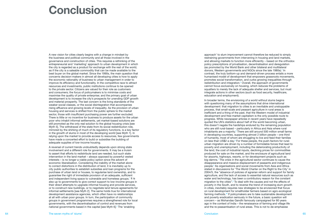approach' to slum improvement cannot therefore be reduced to simply restraining governments from intervening in housing and land markets, and allowing markets to function more efficiently – based on the orthodox policy prescriptions of privatisation, decentralisation and deregulation (as promoted by the World Bank and other bilateral and multilateral donors, Western governments and NGOs since the late 1980s).<sup>3</sup> In contrast, the truly bottom-up and demand-driven process entails a more humanised model of development that empowers grassroots movements, promotes social transformation, and curbs growing inequalities through redistribution and integration.<sup>4</sup> Overall, the approach of governments cannot focus exclusively on housing, which reduces the problems of squatters to merely the lack of adequate shelter and services, but must integrate actions in other sectors (such as food security, healthcare, education and employment ).

In broader terms, the envisioning of a world without slums begins with questioning many of the assumptions that drive international development: that migration to cities is an inevitable and unstoppable process, that small-scale and peasant agriculture in rural areas is inefficient and a thing of the past, that the Western model of industrial development and free-market capitalism is the only possible route to progress. While newspaper articles in recent years have repeatedly quoted the UN's statistics about half of the world becoming urban, this doesn't negate the hardships endured by the remaining population who are still rural-based – particularly in Africa and Asia where rural inhabitants are a majority.<sup>5</sup> There are still around 500 million small farms in developing countries, supporting almost 2 billion people – one third of humanity, most of whom are struggling to live and feed their families on less than US\$2 a day.<sup>6</sup> For these people, the push-factors for ruralurban migration are driven by a number of formidable forces that lead to poverty and unemployment, including the deteriorating productivity of the land, the cost of industrial inputs, declining prices for commodities produced for sale on the market, and the enclosure of agricultural land for airports, highways, resorts, or for development projects such as big damns.<sup>7</sup> The crisis in the agricultural sector continues to cause the disappearance and massive displacement of peasants and indigenous people. **8** As organisations and social movements from Asia and Africa stated in discussions for 'The World Charter on the Right to the City' in 2004/5, the "absence of policies of agrarian reform and support for family agriculture, and the lack of access to essential natural resources such as water and technology, has been a contributory reason for the constant migration to the cities". **9** To deal with the causes and not the effects of poverty in the South, and to reverse the trend of increasing slum growth in cities, inevitably requires new strategies to be envisioned that focus on rural development for smallholder farmers based on agro-ecological farming methods.**10** If policymakers are to take sustainable development and poverty eradication seriously in the future, a basic question will concern – as Mohandas Gandhi famously campaigned for 80 years ago in the context of India – the renaissance of farming and village life and the re-peasantisation of rural areas. This is not to de-emphasise

A new vision for cities clearly begins with a change in mindset by the business and political community and all those involved in the governance and construction of cities. This requires a rethinking of the entrepreneurial and 'marketing' approach to urban development in which the city is regarded as a product for exchange with the rest of the world, as if the city is a saleable commodity that can be made available to the best buyer on the global market. Since the 1990s, the main question that concerns decision-makers in almost all developing cities is how to apply the economic rationality of business to urban management in order to improve its efficiency and functionality. In the competitive race to attract resources and investments, public institutions continue to be opened to the private sector. Citizens are valued for their role as customers and consumers; the focus of policymakers is to minimise costs and maximise the quality of private enterprise; and the primary goal of urban development is to increase the city's prospects for unending GDP growth and material prosperity. The last concern is the living standards of the weaker social classes, or the social disintegration that accompanies rising affluence and growing levels of inequality. As the provision of urban housing and services is shifted from the public sphere to the market sector, those with insufficient purchasing power are further excluded. There is little or no incentive for business to produce assets for the urban poor who inhabit informal settlements, yet market-based solutions are still promoted as the only real solution to the global housing crisis [see Myth 5]. The withdrawal of the state from its social redistribution role, mirrored by the shirking of much of its regulatory functions, is a key factor in the growth of slums in most of the developing world [see Myth 1]. In relying upon the market to provide access to resources, few governments have made a concerted effort to build or subsidise the building of adequate supplies of low-income housing.

A reversal of current trends undoubtedly depends upon strong state involvement and a different role for governments. It may be a truism to assert that efforts to redistribute land are needed, but such state intervention in the land market – always opposed by powerful vested interests – is no longer a viable policy option since the advent of economic liberalisation. Considering the inability of the market alone to correct distortions in the distribution of land, it is inevitably up to city public authorities to establish subsidies and loan programs for the purchase of urban land or houses, to regularise land ownership, and to guarantee the right of immediate provision of an adequate, sufficient and independent living space to vulnerable and homeless groups.<sup>1</sup> It is also up to governments to give correct support to low-income groups in their direct attempts to upgrade informal housing and provide services, or to construct new buildings, or to negotiate land tenure agreements for informal settlements [see Myth 2]. The same holds true for international development assistance agencies, which often have no relationships at all with urban poor groups. In turn, the participation of community groups in government programmes requires a strengthened role for local governments, with the decentralisation of control and revenues from national governments based in the capital [see Myth 6]. **2** The 'enabling

# **Conclusion**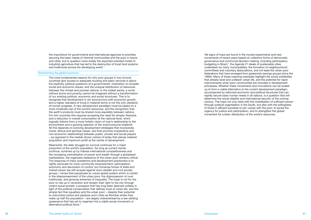the importance for governments and international agencies to prioritise securing the basic needs of informal communities and the poor in towns and cities, but to question more widely the exported-oriented model of industrial agriculture that has led to the destruction of local food systems and livelihoods across the developing world.**<sup>11</sup>**

#### Transforming the global economy

The more fundamental reasons for why poor groups in low-income countries lack access to adequate housing and basic services is about the explicitly political questions of a governments' orientation on broader social and economic issues, and the unequal distribution of resources between the richest and poorest nations. In the widest sense, a world without slums and poverty cannot be imagined without a transformation of our existing political, economic and social structures. This is to recognise that development is not synonymous with economic growth, and a higher standard of living in material terms is not the only yardstick of human progress. A new development paradigm must be based on a more moderate use of the world's resources, and the recognition that the earth's products must be shared more equitably between nations. For rich countries this requires accepting the need for simpler lifestyles and a reduction in overall consumption at the national level, which logically follows from a more holistic vision of man's relationship to the environment and a growing rejection of the work/consume treadmill. All this depends on evolving development strategies that incorporate moral, ethical and spiritual values, and that promote cooperative and non-economic relationships between public, private and social players – as opposed to the market-driven culture of today that places material acquisition and maximum profit at the centre of development.

Meanwhile, the daily struggle for survival continues for a major proportion of the world's population. So long as current trends continue, summed up by intense international competitiveness and the increasing centralisation of power and wealth through a globalised marketplace, the organised resistance of the urban poor remains critical. The response of many academics and development practioners is to rightly advocate for more community empowerment, participation, autonomy and devolution of control, but immense forces of state and market power are still arrayed against slum-dweller and civil society groups – forces that perpetuate an unjust global system which is rooted in the *disempowerment* of the urban poor, the *dispossession* of rural livelihoods, and *growing* extremes of inequality. The hope is not for the poor to rise up in revolution and reclaim their right to the city through violent social protest, a prospect that has long been deemed unlikely in light of the political conservatism that defines most of urban life, and the simple fact that squatters and the urban poor – despite their potential to outnumber police and paralyse such cities as Mumbai where they make up half the population – are largely characterised by a law-abiding quiescence that has yet to organise into a viable social movement or alternative political force.**<sup>12</sup>**

Yet signs of hope are found in the myriad experiments and new movements of recent years based on collective forms of democratic governance and communal decision-making, including participatory budgeting in Brazil,**13** the Agenda 21 ideals of sustainable cities undertaken by many municipalities, the formation of neighbourhood committees and voluntary associations, and not least the urban poor federations that have emerged from grassroots savings groups since the 1990s. Many of these inspiring examples highlight the social solidarities that already exist and underpin urban life, and the potential for rapid improvements when poor communities are included in development processes. Whether these movements and innovations can be scaled up to form a viable alternative to the current development paradigm, accompanied by reformed economic and political structures that can rapidly secure basic human needs in all nations, is a question that will determine the social stability and international security of the coming century. The hope not only rests with the mobilisation of sufficient power through political organisation in the South, but also with the willingness of those in affluent societies to join voices with the poor, to sense the urgency for justice and participation, and to strengthen the global movement for a fairer distribution of the world's resources.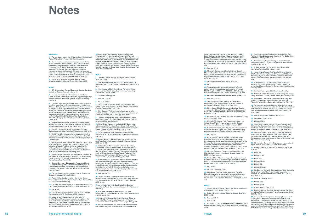# **Notes**

settlements on government land, and another 15 million live in the informal sub-division of agricultural land on the periphery of Pakistan's cities and towns. See Arif Hasan, 'Orangi Pilot Project: The Expansion of Work Beyond Orangi and the Mapping of Informal Settlements and Infrastructure', in *Environment & Urbanisation*, Vol 18 no. 2, October 2006, p. 454.

Movements and the Production of Housing in Buenos Aires; When Polices Are Effective', in *Environment & Urbanisation: City Governance and Citizen Action II*, Vol 21, No. 1, April 2009, pp. 119-123.

#### **21.** Ibid, pp. 451-2.

**22.** Mariano Scheinsohn and Cecilia Cabrera, 'Social

**26.** Mariano Scheinsohn and Cecilia Cabrera, op cit, p. 112. **27.** Ibid, pp. 113-119.

**28.** See 'The Habitat Agenda Goals and Principles Commitments and the Global Plan of Action', Habitat II conference in Istanbul, Turkey, 3-14 June 1996.

**23.** Somsook Boonyabancha, op cit, pp. 21-46.

#### **24.** Ibid.

**25.** The population living in very low-income informal settlements in Buenos Aires alone increased from under 20,000 people in 1982, to over 100,000 in 2001. See figure 1 in Mariano Scheinsohn and Cecilia Cabrera, op cit, p. 110.

**29.** Pietro Garau, Elliott D. Sclar and Gabriella Y. Carolini, *A Home in the City: Achieving the Millennium Development Goals*, Task Force on Improving the Lives of Slum Dwellers, Earthscan, 2005.

**30.** For example, see UN-HABITAT, *State of the World's Cities 2006/7*, Earthscan, 2006.

**31.** UN-HABITAT, 'Slums: Past, Present and Future – the Critical Role of Policy', paper prepared for the Secretary General's visit to Kibera, Nairobi 30-31 January, 2007.

**5.** UN-HABITAT, *Global Report on Human Settlements 2007: Enhancing Urban Safety and Security*, Earthscan, London, pp.  $54-55$ 

**7.** Adam Parsons, *Megaslumming: A Journey Through sub-Saharan Africa's Largest Shantytown*, Share The World's Sundram military Designations

**32.** Deanna Fowler et al, *Global Survey on Forced Evictions: Violations of Human Rights 2003-2006*, Centre on Housing Rights and Evictions (COHRE ), Geneva, December 2006.

#### **33.** Ibid, pp. 5-6.

**34.** Other causes of forced eviction may include tenure insecurity/absence of formal rights; development and infrastructure projects; large international events, such as the Olympic Games; urban redevelopment and 'beautification' initiatives: property market forces and 'gentrification': absence of state support for the poor; political conflict, ethnic cleansing; and war. See Deanna Fowler et al, op cit, p. 9.

**35.** Sandhya Srinivasan, 'Tsunami-Like Devastation Hits Mumbai Slum Dwellers', Inter Press Service, January 30, 2005, http://ipsnews.net

**18.** Kerry Chance, Marie Huchzermeyer and Mark Hunter 'Listen to the shack-dwellers: Tens of thousands of shackdwellers in South Africa are doomed to be evicted to transit camps', *Mail and Guardian*, South Africa, 24th June 2009.

**36.** Gautam Bhan, '"This is no longer the city I once knew". Evictions, the urban poor and the right to the city in millennial Delhi', in *Environment & Urbanisation: City Governance and Citizen Action II*, Vol 21, No. 1, April 2009, p. 135.

**37.** Ibid, p 140.

**38.** Sandhya Srinivasan, op cit.

**39.** See Sheela Patel and Jockin Arputham, 'Plans for Dharavi: negotiating a reconciliation between state-driven market redevelopment and residents' aspirations'', in *Environment & Urbanisation*, Vol 20 no 1., April 2008, pp. 243- 254.

#### **Myth 3**

**1.** Jeremy Seabrook, *In the Cities of the South: Scenes from a Developing World*, Verso, 1996, p. 174.

**2.** Robert Neuwirth, *Shadow Cities*, Routledge, New York, 2006, p. 252.

**3.** Ibid, pp. 258-9. **4.** Ibid, p. 280.

**6.** Kees Koonings and Dirk Kruijt (eds ), *Megacities: The Politics Of Urban Exclusion And Violence In The Global South*, Zed books, January 2010, p. 15.

**8.** Andrew Meldrum, 'A Tsunami of Demolitions', *New Internationalist*, Issue 386, January 2006.

**2.** cf. Luigi Fusco Girard, 'Introduction', in Luigi Fusco Girard et al (eds ) , *The human sustainable city: challenges and perspectives from the habitat agenda*, Ashgate Publishing, 2003, p. 4.

**9.** Human Rights Watch, *Easy Targets: Violence Against Children Worldwide*, September 2001; see also UN General Assembly, *Report of the Independent Expert for the United Nations Study on Violence Against Children*, 29th August 2006.

**10.** P. Gizewski and T. Homer-Dixon, *Urban Growth and Violence: Will the Future Resemble the Past?*, AAAS and University of Toronto: Project on Environment, Population and Security, 1995.

**11.** See Kees Koonings and Dirk Kruijt, op cit, p. 25.

**12.** Anthony S. Wohl, *The Eternal Slum: Housing and Social Policy in Victorian London*, Edward Arnold, New Jersey, 1977.

**13.** Alan Gilbert, 'The Return of the Slum: Does Language Matter?', *International Journal of Urban and Regional Research*, Volume 31.4, December 2007, pp. 702-703, 710.

**8.** Farshad Araghi, 'Peasants and the Agrarian Question', in Fred Magdoff *et al* (eds ), *Hungry for Profit: The Agribusiness Threat to Farmers, Food, and the Environment*, Monthly Review Press, New York, 2000.

**14.** For example, see Daniel Howden, 'Planet of the slums: UN warns urban populations set to double', *The Independent*,<br>UN warns urban populations set to double', *The Independent*,<br>27th June 2007: Jennifer Rowell 'The slums in the world's 27th June 2007; Jennifer Rowell, 'The slums in the world's teeming cities need an urgent solution', *The Guardian*, 28 March 2006.

**15.** Kees Koonings and Dirk Kruijt, op cit, p. 23.

**16.** Alan Gilbert, op cit, p. 38.

**17.** Ibid, pp. 608-9.

**19.** See David Smith, 'Life in 'Tin Can Town' for the South Africans evicted ahead of World Cup', *The Guardian (UK)*, 1st April 2010; see also War on Want, 'Write to the High Commissioner to demand justice for South Africa's poor', July 2010, www.waronwant.org

**20.** 'Eliminate the Slums Act – Original press statement and digital archive', 21st June 2007, www.abahlali.org

**21.** Jeremy Seabrook, *In the Cities of the South*, op cit, pp. 176-182.

- **22.** Ibid, p. 41.
- **23.** Ibid, pp. 3, 30.
- **24.** Ibid, p. 66
- **25.** Ibid, pp. 61-62.
- **26.** Ibid, p. 189.
- **27.** Ibid, pp. 200-201.

**7.** John Turner, 'Housing is a Verb', in John Turner and Robert Fichter (eds ), *Freedom to Build: Dweller Control of the Housing Process*, New York, 1972.

**8.** Rod Burgess, 'Petty commodity housing or dweller control? A critique of John Turner's views on housing policy', *World Development*, Vol 6., 1978, pp. 1105-1133.

> **28.** See Box 1, in Somsook Boonyabancha, 'Baan Mankong: Going to Scale with "Slum" and Squatter Upgrading in Thailand', in *Environment and Urbanization*, Vol. 17, No. 1, April 2005, p. 41.

- **29.** See Box 1, ibid, pp. 41-42.
- **30.** Ibid, pp. 42-43.
- **31.** Ibid, pp 38-39.
- **32.** Adam Parsons, op cit, p. 70.

**33.** Jeremy Seabook, 'The City, Our Stepmother: Ten Years in the Life of a Slum Community', *New Internationalist*, Issue 290, May 1997.

**34.** For example, the Bangladesh Demographic and Health Survey (BDHS ) discovered that female residents of slum areas tended to work as housekeepers, labourers or in the garment piecework, while male adults and children tended to work as rickshaw pullers, labourers, brick breakers, drivers or carpenters. See *Bangladesh Demographic and Health Survey 2007*, National Institute of Population Research and Training

the buildings were of poor quality and often inappropriately See David Satterthwaite, ibid, p. 313.

#### **Introduction**

**1.** Frances Moore Lappe and Joseph Collins, *World hunger: Twelve Myths, Grove Press, 1986. See introduction.* 

> **17.** As of September 2008. See Shack/Slum Dwellers International, About Us, www.sdinet.org/about-us/ (accessed May 2010 ) .

**20.** In 2006, the architect and planner Arif Hasan estimated that 9 million people in Pakistan live in unauthorised urban

**2.** The imperative need to raise awareness about slums is also stressed in the work of the United Nations Human Settlements Programme (UN-HABITAT). As stated by its Executive Director, Anna Tibaijuka: "Awareness of the magnitude of slums in the world is key. As awareness increases so openness to discuss this issue increases as well, and new ideas will inevitably expand." See UN-HARITAT *Slums of the World: The face of urban poverty in the new millennium*, Nairobi, 2003, foreword by Anna Tibaijuka.

**3.** Martin Wolf, 'The rescue of Bear Stearns marks liberalisation's limit', *Financial Times*, 26th March 2008.

#### **Myth 1**

**1.** E.F. Schumacher, *'Roots of Economic Growth',* Gandhian Institute of Studies, Varanasi, India, p. 38.

**3.** UN-HABITAT states that 22 million people in developing countries moved out of slum conditions each year between 2000 and 2010, but 55 million new slum-dwellers were added to the global urban population since 2000. Short of drastic action, the world slum population is expected to grow by six million people each year. These statistics are significantly downward-revised from previous estimates, as discussed in Myth 7. See UN-HABITAT, *State of the World's Cities 2010/2011: Bridging The Urban Divide*, Earthscan, Nairobi, March 2010.

**4.** Personal communication from David Satterthwaite to Jeremy Seabrook, in J. Seabrook, *In the Cities of the South: Scenes from a Developing World*, Verso, 1996, p. 10.

**5.** Jorge E. Hardoy and David Satterthwaite, *Squatter Citizen: Life in the Urban Third World*, Earthscan, 1989, p. 53.

**6.** 'Getting land for housing; what strategies work for lowincome groups?', *Environment and Urbanization – Brief 19*, International Institute for Environment and Development (IIED ), October 2009.

**7.** See *Squatter Citizen*, chapter one. See also Cecilia Tacoli *et al*, 'Urbanization, Poverty and Inequity: Is Rural-Urban Migration a Poverty Problem, or Part of the Solution?' in George Martine *et al* (eds )., *The New Global Frontier: Urbanization, Poverty and Environment in the 21st Century*, IIED, UNFPA and Earthscan Publishing, 2008.

**9.** Deborah Bryceson, 'Disappearing Peasantries? Rural Labour Redundancy in the Neoliberal Era and Beyond', in Deborah Bryceson *et al*, *Disappearing Peasantries?Rural Labour in Latin America, Asia and Africa*, Practical Action, 2000, pp. 304-5.

**10.** Frances Stewart, *Adjustment and Poverty: Options and Choices*, Routledge, New York, 1995.

**11.** Walden Bello et al, *Dark Victory: The United States, Structural Adjustment and Global Poverty*, Pluto Press, 1998; see also www.whirledbank.org

**12.** UN-HABITAT, *Global Report on Human Settlements 2003: The Challenge of Slums*, Earthscan, London, chapter 3, p. 45.

**13.** Ibid, p. 43.

**14.** For example, see Richard Peet, *Unholy Trinity: The IMF, World Bank and WTO*, Zed Books, 2009, chapter 4.

**15.** Myanmar is a notable exception in the case of neoliberalism, while Venezuala is a noted exception in the case of structural adjustment programmes across Latin America. See Alan Gilbert, 'Extreme Thinking About Slums and Slum Dweller: A Critique', *SAIS Review* vol. XXIX no. 1 (Winter-Spring 2009 ), pp. 37-38.

**16.** According to the European Network on Debt and Development, both the World Bank and the IMF are still making heavy use of economic policy conditionality, especially in sensitive areas such as privatisation and liberalisation. For example, see EURODAD, *Untying the Knots: How the World Bank is Failing to Deliver Real Changes on Conditionality*, 2007; and Nuria Molina and Javier Pereira, *Critical Conditions: The IMF Maintains its Grip on Low-Income Governments*, April 2008, www.eurodad.org

#### **Myth 2**

**1.** John F.C. Turner, *Housing by People*, Marion Boyers, 1976, pp. 23-26.

**2.** See Nandini Gooptu, *The Politics of the Urban Poor in Twentieth-Century India*, Cambridge University Press, 2001, p. 421.

**3.** Sue Jones and Nici Nelson. *Urban Poverty in Africa: From understanding to alleviation*, Immediate Technology Publications, London, 1999.

- **4.** *Squatter Citizen*, pp. 41-3.
- **5.** Ibid, pp. 43-4, 95.
- **6.** Ibid, pp. 106-117.

**9.** Janice E. Perlman and Molly O'Meara Sheehan, *State of the World 2007: Our Urban Future*, Worldwatch Institute, November 2006, see chapter 9.

**10.** Kirtee Shah, 'Agenda 21 for Sustainable Construction in Developing Cities', in Luigi Fusco Girard et al (eds ), *The human sustainable city: challenges and perspectives from the habitat agenda*, Ashgate Publishing, 2003, p. 291.

**11.** As of September 2008. See Shack/Slum Dwellers International, About Us, www.sdinet.org/about-us/ (accessed May 2010 ).

**12.** Robert Neuwirth, 'Bricks, Mortar and Mobilization', in *Ford Foundation Report*, vol.36, issue 2/3, Spring-Summer 2005, pp. 13-18.

**13.** 'Citizen Driven Action on Urban Poverty Reduction', *Environment & Urbanisation Brief 17*, International Institute for Environment and Development, October 2008, p2; see also David Satterthwaite, 'Editorial: The Social and Political Basis for Citizen Action on Urban Poverty Reduction', in *Environment & Urbanisation: City Governance and Citizen Action*, Vol 20 no. 2, October 2008, pp 311-313.

**14.** For example, the government of South Africa supported one of the world's largest and most generous subsidy programmes to support low-income households, but many of located owing to the lack of involvement of urban poor organisations in the management and design of the project.

**15.** Ibid, pp 311-313.

**16.** Jockin Arputham, 'Developing new approaches for people-centred development', in *Environment & Urbanisation: City Governance and Citizen Action*, Vol 20 no. 2, October 2008, p. 336.

**18.** See table 1: Examples of the savings and work programmes of the federations, in *Environment & Urbanisation Brief 17*, op cit, p. 3.

**19.** Somsook Boonyabancha, 'Baan Mankong: Going to Scale with "Slum" and Squatter Upgrading in Thailand', in *Environment & Urbanization*, Vol. 17 no. 1, April 2005, p. 34.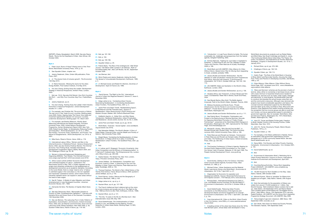**21.** 'Introduction', in Luigi Fusco Girard et al (eds ), *The human sustainable city: challenges and perspectives from the habitat agenda*, Ashgate Publishing, 2003.

**22.** Erminia Maricato, 'Fighting for Just Cities in Capitalism's Periphery', in *Searching for the Just City: Debates in Urban Theory and Practice*, Peter Marcuse et al (eds ), Routledge, 2009, p. 199.

**25.** UN-HABITAT, *Water and Sanitation in the World's Cities*, hscan, London, 200

**23.** World Bank and UN-HABITAT, *Cities Alliance for Cities Without Slums: Global Action Plan for Moving Slum Upgrading to Scale*, (undated, probably 1999 ) .

**24.** Jessica Budds and Gordon McGranahan, 'Are the debates on water privatization missing the point? Experiences from Africa, Asia and Latin America', in *Environment & Urbanization*, Vol 15 No 2, October 2003, pp. 102-103, 109- 110.

**31.** See Patrick Bond, 'Privatisation, Participation and Protest in the Restructuring of Munical Services: Grounds for Opposing World Bank Promotion of "Public-Private Partnerships"', presented at the World Bank/NGO Dialogue on Privatization, Washington DC, 1997, reproduced for *The Water Page*, www.thewaterpage.com

**26.** Jessica Budds and Gordon McGranahan, op cit, p. 106.

**32.** Michael B. Likosky, 'Who Should Foot the Bill?', in Richard Scholar (ed ), *Divided Cities: The Oxford Amnesty Lectures 2003*, Oxford University Press, 2003, p. 189.

**27.** Vandana Shiva, see 'Foreword', in Oscar Olivera and Tom Lewis, *Cochabamba: Water War in Bolivia*, South End Press, 2004.

**28.** See Maude Barlow, *Blue Gold: The Battle Against Corporate Theft of the World's Water*, Stoddart, Toronto, 2002.

**29.** Melissa Houskamp and Nicola Tynan, 'Private Infrastructure: Are the Trends in Low-income Countries Different?', Private Sector Viewpoint Note No 215, PPIAF, World Bank, Washington DC.

**30.** Jessica Budds and Gordon McGranahan, op cit, p. 111.

**33.** Peter Marcuse and Ronald van Kempen, 'Conclusions', in Peter Marcuse and Ronald van Kempen (eds ), *Of States and Cities: The Partitioning of Urban Space*, Oxford University Press, 2002, pp. 262-263.

#### **34.** Ibid.

**35.** The Kuantan Conference: A Citizen's Agenda, Meeting for the Asia Pacific Regional NGO Consultation on 'Our Cities, Our Homes' held in Kuantan, Malaysia, 9-13th April 1995, The People-Centred Development Forum. www.pcdf.org

#### **Myth 6**

**1.** David Korten, *Getting to the 21st Century: Voluntary Action and the Global Agenda*, Kumarian Press, West Hartford, CT, 1990, p. ix.

**2.** Michael Cohen, 'Urban Assistance and the Material World: Learning by Doing a the World Bank', *Environment & Urbanization*, Vol 13 No 1 April 2001, p. 37.

**15.** John F.C. Turner, *Housing by People*, Marion Boyars Publishers, 1976, p. 6.

**3.** Organisation for Economic Co-operation and Development (OECD ), 'Donors' Mixed Aid Performance for 2010 Sparks Concern', 17th February 2010, www.oecd.org **17.** For example, in the Kibera settlement in Nairobi, Kenya, an estimated 2,000 government organisations function alongside up to 15,000 community-based NGOs. See also David Satterthwaite, op cit.

**4.** Richard Stren, 'International Assistance for Cities in Low- and Middle-Income Countries: Do We Still Need It?', *Environment & Urbanisation*, Vol 20 No 2, October 2008, p. 377.

**5.** David Satterthwaite, 'Reducing Urban Poverty: Constraints on the Effectiveness of Aid Agencies and Development Banks and Some Suggestions for Change' *Environment & Urbanisation*, Vol 13 No 1, April 2001, see table 2, p. 154.

**6.** Care International UK, *Cities on the Brink: Urban Poverty in the 21st Century*, June 2006, p. 8, www.careinternational. org.uk/urban

**27.** 'Kenya begins huge slum clearance', *BBC News*, 16th September 2009, www.bbc.co.uk

**7.** A leading scholar of the urban bias thesis since the 1970s was Michael Lipton, whose ideas were developed in many

World Bank documents by analysts such as Robert Bates and Elliott Berg. See Stuart Corbridge and Gareth A. Jones, 'The Continuing Debate About Urban Bias: The Thesis, Its Critics, Its Influence, and Implications for Poverty Reduction Strategies', *Progress in Development Studies*, vol. 10 no. 1, January 2010.

**8.** Richard Stren, op cit, pp. 378, 382.

**9.** *Challenge of Slums*, pp. 136-145.

**10.** *Squatter Citizen*, pp. 106-113.

**11.** Cedric Pugh, 'The Role of the World Bank in Housing', in Brian Aldrich and Ranvinder Sandhu, *Housing the Urban Poor: Policy and Practice in Developing Countries*, Zed Books, 1995, p. 64.

**12.** Cities Alliance, *Cities Alliance: Cities Without Slums*, Home Page, 2007, accessed June 2010, www.citiesalliance. org/ca/about-cities-alliance

**15.** Arthur Lewis's article entitled 'Economic Development with Unlimited Supplies of Labour', published in The Manchester School in May 1954, is widely regarded as the single most influential contribution to the establishment of development economics as an academic discipline. According to the Lewis Model, there is a large 'reserve army' of labour in unlimited supply in the rural areas (i.e. the non-capitalist and 'backward' subsistence sector), which means that the industrial capitalist sector can expand in urban areas without the need to raise wages

**13.** 'Sites-and-Services' schemes are the provision of plots of land (ie. sites ), either on ownership or land lease tenure, along with a bare minimum of essential infrastructure needed for habitation (ie. services such as roads, water supply, drainage and electricity). In most projects, the beneficiaries were left to construct and develop the actual houses using their own and the community's resources. Although many serviced-site projects have faced considerable opposition and failure, this concept received widespread support by the World Bank and was taken up by many countries in Asia, Africa and Latin America. A key departure from earlier housing schemes was the recognition that low-income groups are able to build their own houses, as long as appropriate support is provided by government agencies. See, for example, World Bank, *Sites and Services Projects*, Washington DC, 1974; World Bank, *Shelter*, Washington DC, 1980.

**14.** John F.C. Turner and Robert Fichter (eds ), *Freedom to Build: Dweller Control of the Housing Process*, Collier Macmillan, New York, 1972.

**16.** *Squatter Citizen*, p. 139.

**18.** Diana Mitlin, 'Civil Society and Urban Poverty: Examing Complexity', *Environment & Urbanisation*, 13:2, October 2001, p. 164.

**19.** David Satterthwaite, op cit.

**20.** Ibid.

**21.** Environment & Urbanisation Brief 3, *Rethinking Aid to Urban Poverty Reduction: Lessons to Donors*, International Institute for Environment and Development, April 2001.

**22.** Ibid.

**23.** Countries/Kenya/Activities, 'Kenya Slum Upgrading Project (KENSUP )', UN-HABITAT, www.unhabitat.org (accessed June 2010 )

**24.** '30,000 Houses for Slum Dwellers on the Way', *Daily Nation*, Nairobi, 28th October 2008.

**25.** Kibiwott Koross, 'Move to 'paradise' for Kibera slum dwellers put off again', *Daily Nation*, Nairobi, 20th August 2009.

**26.** Note that estimates for the population of Kibera vary widely from around 170,000 residents to 1 million. See Muchiri Karanja, 'Myth shattered: Kibera numbers fail to add up', *Daily Nation*, 3rd September 2010; and Rasna Warah, 'How numbers game turned Kibera into 'the biggest slum in Africa'', *Daily Nation*, Kenya, 12th September 2010; see also Raakel Syrjänen, *UN-HABITAT and the Kenya Slum Upgrading Programme Strategy Document*, UN-HABITAT, May 2008.

**28.** Dan Okoth, New Dawn for Kibera but Poverty Persists, *The Standard*, Nairobi, 16th September 2009.

(NIPORT), Dhaka, Bangladesh, March 2009. See also Rasna Warah, 'Slums Are the Heartbeat of Cities', *East African*, 6th October 2003.

#### **Myth 4**

**1.** Peter Lloyd, *Slums of Hope? Shanty towns of the Third World*, Manchester University Press, 1979, p. 34.

**2.** See *Squatter Citizen*, chapter one.

**3.** Jeremy Seabrook, *Cities*, Oxfam GB publication, Pluto Press, 2007.

**4.** cf. 'The elusive fruits of inclusive growth', *The Economist*, 13th May 2010.

**5.** cf. Rahul Goswami, 'Missing the slums for the cities', Energy Bulletin, Post Carbon Institute, 21st May 2010.

**6.** Ha-Joon Chang, *Kicking Away the Ladder: Development Strategy in Historical Perspective*, Anthem Press, London, 2003.

**7.** Ibid, pp. 19-24. See also Erik Reinert, *How Rich Countries Got Rich … and Why Poor Countries Stay Poor*, PublicAffairs, 2007.

**8.** Jeremy Seabrook, op cit.

**9.** Ha-Joon Chang, 'Kicking Away the Ladder: Infant Industry Promotion in Historical Perspective', *Oxford Development Studies* 31:1, 2003.

**10.** For example, see Christian Aid, *The economics of failure: The real cost of 'free' trade for poor countries*, Briefing paper, June 2005; Oxfam, *Signing Away The Future: How trade and investment agreements between rich and poor countries undermine development*, Briefing paper 101, March 2007.

**11.** For example, see Branko Milanovic, *Worlds Apart: Measuring International and Global Inequality*, Princeton University Press, 2005; United Nations Development Programme, *Human Development Report 2005*, New York, 2005; Robert Hunter Wade, 'Is Globalisation Reducing Poverty and Inequality?', *World Development*, vol. 32 no. 4, 2004; Ravi Kanbur, 'Economic Policy, Distribution, and Poverty: The Nature of Disagreements', *World Development*, vol. 29 no. 6, 2001.

**12.** Mike Davis, *Planet of Slums*, Verso, 2006, p. 178.

**13.** International Labour Office, 'Women and Men in the Informal Economy: A Statistical Picture', Geneva: Employment Sector, 2002; see also Kristina Flodman Becker, *The Informal Economy: Fact Finding Study*, Swedish International Development Cooperation Agency (SIDA), March 2004; and *The Challenge of Slums*, pp. 40, 46.

**14.** Women in Informal Employment Globalizing and Organizing (WIEGO ), 'Fact Sheets: The Informal Economy', www.wiego.org/main/fact1.shtml (acccessed June 2010 )

**16.** See M. Todaro, 'A Model of Labor Migration and Urban Unemployment in Less Developed Countries', *American Economic Review*, 59:1, 1969.

**17.** Hernando De Soto, *The Mystery of Capital, Black Swan, 2001* .

**18.** See also Democracy Now!, 'Microcredit: Solution to Poverty or False 'Compassionate Capitalism?'', Interview with Vandana Shiva and Susan Davis of the Grameen Foundation, 13th December 2006.

**19.** See Jan Breman, *The Labouring Poor in India: Patterns of Exploitation, Subordination, and Exclusion*, Oxford University Press, 2003; also Jan Breman and Arvind Das, *Down and Out: Labouring Under Global Capitalism*, New Delhi 2000, p. 56. Quoted in Mike Davis, *Planet of Slums*, pp. 179-185.

**20.** Ibid, pp. 181-182.

**21.** Ibid, p. 184.

**22.** Ibid, pp. 185-186.

**23.** *Squatter Citizen*, p. 29.

**24.** Patrick Barta, 'The Rise of the Underground', *Wall Street Journal*, 14th March 2009, quoted in Jan Breman, 'Myth of the Global Safety Net', *New Left Review*, No 59., September-October 2009.

**25.** Jan Breman, ibid.

**26.** Winin Pereira and Jeremy Seabrook, *Asking the Earth: The Spread of Unsustainable Development*, Earthscan, 1990, p. 5.

**27.** cf. Michael Cowen and Robert W. Shenton, *Doctrines of Development*, Taylor & Francis Ltd, 1996.

#### **Myth 5**

**1.** David Harvey, 'The Right to the City', *International Journal of Urban and Regional Research*, Volume 27, Issue 4, December 2003.

**2.** Helga Leitner et al., 'Contesting Urban Futures: Decentering Neoliberalism', in *Contesting Neoliberalism: Urban Frontiers*, The Guildford Press, 2007, p. 3.

**3.** Jamie Peck and Adam Tickell, 'Neoliberalising Space', in Neil Brenner and Nik Theodore (eds. ), *Spaces of Neoliberalism: Urban Restructuring in North America and Western Europe*, Malden, MA: Oxford's Blackwell Press.

**4.** Adalberto Aguirre, Jr., Volker Eick, and Ellen Reese, 'Introduction: Neoliberal Globalization, Urban Privatization, and Resistance', *Social Justice Journal*, Vol. 33, No. 3, 2006.

**5.** Jamie Peck and Adam Tickell, op cit, pp. 40-54.

**6.** World Bank, 'Overview : Social Capital', www.worldbank. org (accessed July 2010 ) .

**7.** See Sebastian Mallaby, *The World's Banker: A Story of Failed States, Financial Crises, and the Wealth and Poverty of Nations*, Yale University Press, 2006.

**8.** Margit Mayer, 'Contesting the Neoliberalization of Urban Governance', in Helga Leitner et al. (eds ), in *Contesting Neoliberalism: Urban Frontiers*, The Guildford Press, 2007, pp. 92-94.

**9.** Ibid.

**10.** H. Leitner and E. Sheppard, 'Economic Uncertainty, Inter-Urban Competition and the Efficacy of Entrepreneurial International International International International T. Hall and P. Hubbard (eds ), *The Entrepreneurial City*, London: John Wiley & Sons, pp. 285-308.

**11.** Saskia Sassen, *The Global City: New York, London, Tokyo*, Princeton University Press, 2001.

**12.** James Defilipis, 'On Globalisation, Competition and Economic Justice in Cities', in *Searching for the Just City: Debates in Urban Theory and Practice*, Peter Marcuse et al (eds ), Routledge, 2009, p. 145.

**13.** Thomas Friedman, *The World is Flat: A Brief History of the Twenty-First Century*, Farrar, Straus & Giroux, 2005; quoted in James Defilipis, op cit, p. 145.

**14.** David Harvey, *Justice, Nature and the Geography of Difference*, Blackwell, 1996, p. 420.

**15.** Helga Leitner et al., op cit, p. 4.

**16.** Gautam Bhan, op cit, pp. 137-138.

**17.** The French intellectual Henri Lefebvre laid out the vision for a more inclusive and socially just city in *The Right to the City*, 1968 (*Le Droit à la ville*, Paris: Anthropos, 2nd ed., 1968 ).

**18.** Gautam Bhan, op cit, p. 141.

**19.** 'The City: 10 years in the life of a Mumbai slum', *New Internationalist*, Issue 290, May 1997.

**20.** David Satterthwaite, *The Underestimation of Urban Poverty in Low- and Middle-income Nations*, Poverty Reduction in Urban Areas Series, Working Paper 14, IIED, London, 2004.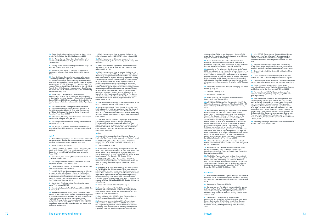statitician of the Global Urban Observatory Section (GUO ) under the City Monitoring Branch, but despite several further requests it was never forthcoming.

**29.** David Satterthwaite, *The under-estimation of urban poverty in low- and middle-income nations*, International Institute for Environment and Development, Poverty Reduction in Urban Areas Series: Working Paper 14, April 2004.

**30.** According to The Millennium Development Goals Report 2010; "...in absolute terms, the number of slum dwellers in the developing world is actually growing, and will continue to rise in the near future. The progress made on the slum target has not been sufficient to offset the growth of informal settlements in the developing world... Redoubled efforts will be needed to improve the lives of the growing numbers of urban poor in cities and metropolises across the developing world." See pp. 62-3.

**31.** *State of the World's Cities 2010/2011: Bridging The Urban Divide*, op cit, p. 42.

**32.** *Squatter* Citizen, p. 301. **33.** cf. *Squatter Citizen*, p. 60.

**34.** United Nations, *The Millennium Development Goals Report 2010*, New York, pp. 62-3.

**35.** cf. UN-HABITAT, *State of the World's Cities 2006/7: The Millennium Development Goals and Urban Sustainability – 30 Years of Shaping the Habitat Agenda*, Earthscan, London, 2006.

**3.** For example, see World Bank, *Housing: Enabling Markets to Work*, A World Bank Policy Paper, Washington DC, 1993; see also Vinit Mukhija, 'Enabling Slum Redevelopment in<br>Mumbai: Policy Paradox in Practice', *Housing Studies*, 18(4):<br>213-222, 2001.

**4.** See G. Gran, *Development by People: Citizen Construction of a Just World*, Praeger, New York, 1983; David Korten, *Getting to the 21st Century*, op cit; Elinor Ostrom, *Governing the Commons: The Evolution of Institutions for Collective Action*, Cambridge University Press, New York,  $1990$ 

**36.** Richard Lapper, 'Poor cry foul over World Cup in Durban', *Financial Times*, 7th June 2010; Jason Burke, ''Shining India' makes its poor pay price of hosting Commonwealth Games', *The Guardian*, 11th July 2010. In a report on the Commonwealth Games in Delhi, it was estimated that 100,000 familes had already been evicted due to Gamesrelated projects by June 2010, and a further 30,000-40,000 familes were estimated to be displaced before the Games commenced in October. It stated: "The goal of portraying Delhi as a 'world class' city and an international sports destination, has led the Indian government – both at the state and central level – to lose sight of its priorities and legal and moral commitments to its people." See Shalini Mishra, Shivani Chaudhry and Miloon Kothari, *The 2010 Commonwealth Games: Whose Wealth? Whose Commons?*, Housing and Land Rights Network (HLRN ), 13th June 2010.

**7.** Jeremy Seabrook, *Cities*, Oxfam GB publication, Pluto Press, 2007

**37.** cf. Eric Holt-Giménez, *The World Food Crisis: What's behind it and What we can do about it*, Food First, Policy Brief No. 16, October 2008.

**11.** For example, see GRAIN, 'Global agribusiness: Two Decades of Plunder', *Seedling Magazine*, July 2010, www. grain.org/seedling

**38.** For example, see David Woodward and Andew Simms, *Growth Isn't Working: The Unbalanced Distribution of Benefits and Costs from Economic Growth*, New Economics Foundation, January 2006.

**39.** The Habitat Agenda is the main political document that came out of the Habitat II conference in Istanbul, Turkey, 3rd to 14th June 1996. Adopted by 171 countries, it contains over 100 commitments and 600 recommendations on human settlements issues. See also Istanbul Declaration on Human Settlements: General Assembly resolutions 51/177 of 16 December 1996 and 53/242 of 28 July 1999.

#### **Conc**

**31.** Mwangi Muirur, 'Slum Upgrading Initiative Hits Snag', *The*  **Standard, Nairobi, 11th June 2009** 

> **1.** See 'World Charter on the Right to the City', elaborated at the Social Forum of the Americas (Quito, Ecuador – July 2004 ) and at the World Urban Forum (Barcelona, Spain – September 2004 ) .

**2.** See *Squatter Citizen*, pp. 270-274.

**5.** UN-HABITAT, 'Declaration on Cities and Other Human Settlements in the New Millennium', General Assembly: Special Session for an Overall Review & Appraisal of the Implementation of the Habitat Agenda, New York, 6-8 June 2001.

**6.** The International Fund for Agricultural Development (IFAD ), 'Food prices: smallholder farmers can be part of the solution', undated, www.ifad.org/operations/food/ $f$ 

**8.** La Via Campesina, 'Declaration of Rights of Peasants – Women and Men', June 2008, http://viacampesina.org/en/

**9.** Leticia Marques Osorio, *The World Charter on the Right to the City*, Centre on Housing Rights and Evictions, Paris, 2005.

**12.** Marie Huchzermeyer, 'Slums law based on flawed interpretation of UN goals', *Business Day* (South Africa ), 19th May 2008

> **10.** See *Agriculture at a Crossroads – Global Report*, International Assessment of Agricultural Knowledge, Science and Technology for Development (IAASTD ), April 2008.

**12.** Most researchers have found that urban protests in the developing world were against specific actions or policies, such as the IMF riots that broke out during the 1980s, and have not constituted a 'social movement' that posed a significant political challenge or sought any radical forms of change. See Alan Gilbert, *The Latin American City*, Latin American Bureau, London, 1990; also T. Evers, 'Identity: The Hidden Side of New Social Movements in Latin America', in D. Slater (ed. ), *New Social Movements and the State in Latin America*, Foris Publications, Amsterdam, pp. 43-71; also Manuel Castells, *The City and the Grassroots*, Edward Arnold, London, 1983.

**13.** See Hilary Wainwright, *Reclaim the State: Experiments in Popular Democracy*, Seagull, 2009.

**29.** Rasna Warah, 'Slum tourism may become history in this country', *Daily Nation*, Nairobi, 20th September 2009.

**30.** Joy Wanja, 'Former Kibera Slum-Dwellers Find Life in New Houses Not As Blissful', *Daily Nation*, Nairobi, 2nd October 2009.

**32.** Kibiwott Koross, 'Move to 'paradise' for Kibera slum dwellers put off again', *Daily Nation*, Nairobi, 20th August 2009.

**33.** Jean-Christophe Servant, 'Africa: escaping the slums', *Le Monde diplomatique*, April 2010. For further background, see Marie Huchzermeyer, *Slum upgrading initiatives in Kenya within the basic services and wider housing market: A housing rights concern*, COHRE, 2006; COHRE, *Listening to the Poor: Housing Rights in Nairobi* (Fact-find mission to Nairobi – Final Report ), June 2006. See also the documentary *Good Fortune* by Landon Van Soest, Transient Pictures, Public Broadcasting Service (PBS ), May 2010.

> **28.** In a personal communication with the Press & Media Relations Unit at UN-HABITAT in April 2010, clarification was sought on why the total number of slum-dwellers in the eloping world had changed so markedly in compa to previous statistics. A reply was promised from the chief

**34.** Walden Bello, David Kinley, and Elaine Elinson, 'Development Debacle: The World Bank in the Philippinnes', in *The Paradox of Plenty*, Douglas H. Boucher (ed. ), Food First Books, 1994, pp. 221-225; see also David Korten, *Getting to the 21st Century: Voluntary Action and the Global Agenda*, op cit.

**35.** See Erhard Berner, 'Learning from Informal Markets: Innovative Approaches to Land and Housing Provision', in David Westendorff and Deborah Eade (eds ), *Development and Cities*, UN Research Institute for Social Development, Kumarian Press, Oxford, 2002.

**36.** Gita Verman, *Slumming India: A Chronicle of Slums and their Saviours*, Penguin, 2003, pp. 72-72.

**37.** For example, see Yash Tandon, *Ending Aid Dependence*, Fahamu Books, 2008.

**38.** Phil Vernon, 'Is Overseas Development Aid Working?', International Alert, 18th September 2008, www.internationalalert.org

#### **Myth 7**

**1.** William Shakespear, *King Lear*, Act IV, Scene 1. The words are spoken by the blinded and suicidal Earl of Gloucester as he hands a purse to the naked madman, 'Poor Tom'.

**2.** *Planet of Slums*, pp. 201-202.

**3.** Charles J. Stokes, 'A Theory of Slums', *Land Economics*, Vol 38 no. 5, August 1962; Peter Lloyd, *Slums of Hope? Shanty towns of the Third World*, Manchester University Press, 1979.

**4.** Oscar Lewis, *Five Families; Mexican Case Studies In The Culture Of Poverty*, 1959.

**5.** For example, see Stewart Brand, 'How slums can save the planet', *Prospect*, 27th January 2010.

**6.** Lebbeus Woods, 'Slums: The Problem', 8th January 2008, www.lebbeuswoods.wordpress.com

**7.** In 2003, the United Nations gave an operational definition of a slum for international usage in terms of the following characteristics: inadequate access to safe water; inadequate access to sanitation and other infrastructure; poor structural quality of housing; overcrowding; insecure residential status. See *Challenge of Slums*, pp. 10-13.

**8.** Alan Gilbert, 'The Return of the Slum: Does Language Matter?', op cit, pp. 704-708.

**9.** According to figures in *The Challenge of Slums*, 2003. See A. Gilbert, ibid.

**10.** World Bank and UN-HABITAT, *Cities Alliance for Cities Without Slums: Global Action Plan for Moving Slum Upgrading to Scale*, (undated – assumed 1999 ); see also United Nations Human Settlements Programme (UN-HABITAT), *UN-HABITAT's Strategy for the Implementation of the Millennium Development Goal 7, (Target 11: "By 2020, to have achieved a significant improvement in lives of at least 100 million slum dwellers")*, Nairobi, 2005.

**11.** Marie Huchzermeyer, 'How to improve the lives of 100 million slum dwellers by 2020', *UN Chronicle*, 1st July 2006.

**13.** Marie Huchzermeyer, 'Uplift slums, don't destroy them', *The Mercury* (South Africa ), 12th July 2007. See also Alan Gilbert, op cit, p. 708.

**14.** Marie Huchzermeyer, 'How to improve the lives of 100 million slum dwellers by 2020', op cit. Professor Alan Gilbert at University College London also notes: "If the key problem to be addressed is to improve the quality of people's housing, then a campaign entitled 'In search of better shelter' would be much more accurate and honest. Most importantly, it would represent a reasonable goal and would not convey the negative images evoked by the use of the word 'slum'. 'Better shelter' suggests a progression: that housing problems are so complicated and deep seated that they cannot easily be resolved, let alone eliminated. Improving shelter does not demand the end of 'slums', which is unachievable, but to produce better housing conditions, which is. The danger with the term 'cities without slums' is that it is just a slogan; rhetoric that carries with it an empty promise." See Alan Gilbert, op cit, p. 709.

**15.** See *UN-HABITAT's Strategy for the Implementation of the MDG 7, Target 11*, Nairobi, 25th November 2005.

**16.** Amnesty International, '*Slums: Human Rights Live Here'*, Briefing Paper, May 2009; see also Irene Khan, *The Unheard Truth: Poverty and Human Rights*, Amnesty International, 2009, p. 161. Note: the forecast of 1.4 billion slum-dwellers by 2020 was made in the UN-HABITAT report *State of the World's Cities 2006/7* .

**17.** The latest State of the World Cities report acknowledges the many conceptual problems with the Millennium Development Goal on slums, concluding that the "slum target" was achieved ten years early only because it was set too low at the outset. See UN-HABITAT, *State of the World's Cities 2010/2011: Bridging The Urban Divide*, Earthscan, March 2010, pp. 45-49

#### **18.** Ibid.

**19.** Somsook Boonyabancha, 'Baan Mankong: Going to Scale with "Slum" and Squatter Upgrading in Thailand', op cit.

**20.** UN-HABITAT, *State of the World's Cities 2010/2011: Bridging The Urban Divide*, Earthscan, March 2010, p. 40.

**21.** *The Challenge of Slums* . **22.** For example, see Alex Kirby, 'Slum growth 'shames the

world'', *BBC News*, 6th October 2003; John Vidal, 'Every third person will be a slum dweller within 30 years, UN agency warns: Biggest study of world's cities finds 940 million already living in squalor', *The Guardian,* 4th October 2003.

**23.** UN-HABITAT, *State of the World's Cities 2006/7: The Millennium Development Goals and Urban Sustainability – 30 Years of Shaping the Habitat Agenda*, Earthscan, London, 2006, p. vi.

**24.** For example, in a statement given by Mrs Anna Tibaijuka on World Habitat Day 2008, she said: "[One] historic turning point is that the number of urban slum-dwellers worldwide has broken the 1 billion mark, making it clear that the urbanization of poverty is arguably one of the biggest challenges facing development today." See UN-HABITAT, 'Statement of the Executive Director of UN-HABITAT, Mrs. Anna Tibaijuka on the occasion of World Habitat Day 2008', 9th October 2008, www. unhabitat.org

**25.** *State of the World's Cities 2010/2011*, op cit.

**26.** For a short critique of the World Bank's global poverty statistics, see Adam Parsons, 'World Bank Poverty Figures: What Do They Mean?', Share The World's Resources, 15th September 2008, www.stwr.org

**27.** Rasna Warah, 'UN-HABITAT's Slum Estimates: Fact or Fiction?', unpublished article, 23rd April 2010.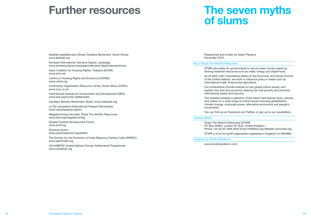

# **of slums**

Abahlali baseMjondolo (Shack Dwellers Movement, South Africa): www.abahlali.org

Amnesty International 'Demand Dignity' campaign: www.amnesty.org/en/campaigns/demand-dignity/issues/slums

Asian Coalition for Housing Rights, Thailand (ACHR): www.achr.net

Centre on Housing Rights and Evictions (COHRE): www.cohre.org

Community Organisation Resource Centre, South Africa (CORC): www.corc.co.za

International Institute for Environment and Development (IIED): www.iied.org/human-settlements

Landless Workers Movement, Brazil: www.mstbrazil.org

La Via Campesina (International Peasant Movement): www.viacampesina.org/en/

Megaslumming microsite, Share The World's Resources: www.stwr.org/megaslumming

People-Centred Development Forum: www.pcdf.org

Practical Action: www.practicalaction.org/shelter

The Society for the Promotion of Area Resource Centers, India (SPARC): www.sparcindia.org

UN-HABITAT (United Nations Human Settlements Programme): www.unhabitat.org

# **Further resources**

Researched and written by Adam Parsons December 2010

About Share The World's Resources

international trade, finance and agriculture.

- STWR advocates for governments to secure basic human needs by sharing essential resources such as water, energy and staple food.
- As an NGO with Consultative Status at the Economic and Social Council of the United Nations, we work to influence policy in areas such as
- Our publications provide analysis on key global justice issues, and explain how and why economic sharing can end poverty and promote
- The website presents a selection of the latest international news, articles and videos on a wide range of critical issues including globalisation, climate change, corporate power, alternative economics and people's
- You can find us on Facebook and Twitter, or sign up to our newsletters.

international peace and security.

movements.

#### Contact details

Share The World's Resources (STWR) PO Box 52662, London N7 8UX, United Kingdom Phone +44 (0) 20 7609 3034 Email info@stwr.org Website www.stwr.org

STWR is a not for profit organisation registered in England, no.4854864

#### Designed by Studio Blackburn

www.studioblackburn.com